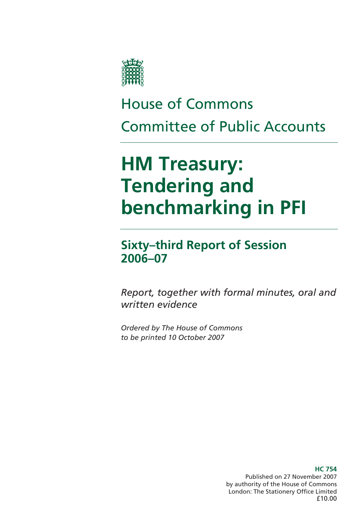

# House of Commons Committee of Public Accounts

# **HM Treasury: Tendering and benchmarking in PFI**

**Sixty–third Report of Session 2006–07** 

*Report, together with formal minutes, oral and written evidence* 

*Ordered by The House of Commons to be printed 10 October 2007* 

> **HC 754**  Published on 27 November 2007 by authority of the House of Commons London: The Stationery Office Limited £10.00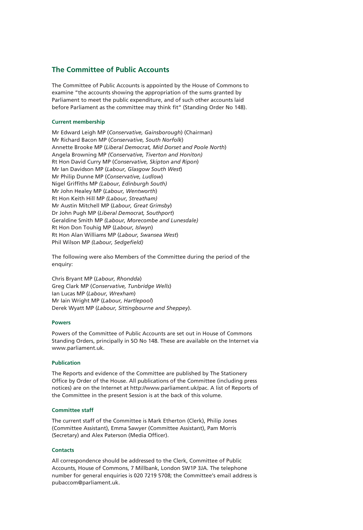### **The Committee of Public Accounts**

The Committee of Public Accounts is appointed by the House of Commons to examine "the accounts showing the appropriation of the sums granted by Parliament to meet the public expenditure, and of such other accounts laid before Parliament as the committee may think fit" (Standing Order No 148).

#### **Current membership**

Mr Edward Leigh MP (*Conservative, Gainsborough*) (Chairman) Mr Richard Bacon MP (*Conservative, South Norfolk*) Annette Brooke MP (*Liberal Democrat, Mid Dorset and Poole North*) Angela Browning MP *(Conservative, Tiverton and Honiton)* Rt Hon David Curry MP (*Conservative, Skipton and Ripon*) Mr Ian Davidson MP (*Labour, Glasgow South West*) Mr Philip Dunne MP (*Conservative, Ludlow*) Nigel Griffiths MP *(Labour, Edinburgh South)* Mr John Healey MP (*Labour, Wentworth*) Rt Hon Keith Hill MP *(Labour, Streatham)* Mr Austin Mitchell MP (*Labour, Great Grimsby*) Dr John Pugh MP (*Liberal Democrat, Southport*) Geraldine Smith MP *(Labour, Morecombe and Lunesdale)* Rt Hon Don Touhig MP (*Labour, Islwyn*) Rt Hon Alan Williams MP (*Labour, Swansea West*) Phil Wilson MP *(Labour, Sedgefield)*

The following were also Members of the Committee during the period of the enquiry:

Chris Bryant MP (*Labour, Rhondda*) Greg Clark MP (*Conservative, Tunbridge Wells*) Ian Lucas MP (*Labour, Wrexham*) Mr Iain Wright MP (*Labour, Hartlepool*) Derek Wyatt MP (*Labour, Sittingbourne and Sheppey*).

#### **Powers**

Powers of the Committee of Public Accounts are set out in House of Commons Standing Orders, principally in SO No 148. These are available on the Internet via www.parliament.uk.

#### **Publication**

The Reports and evidence of the Committee are published by The Stationery Office by Order of the House. All publications of the Committee (including press notices) are on the Internet at http://www.parliament.uk/pac. A list of Reports of the Committee in the present Session is at the back of this volume.

#### **Committee staff**

The current staff of the Committee is Mark Etherton (Clerk), Philip Jones (Committee Assistant), Emma Sawyer (Committee Assistant), Pam Morris (Secretary) and Alex Paterson (Media Officer).

#### **Contacts**

All correspondence should be addressed to the Clerk, Committee of Public Accounts, House of Commons, 7 Millbank, London SW1P 3JA. The telephone number for general enquiries is 020 7219 5708; the Committee's email address is pubaccom@parliament.uk.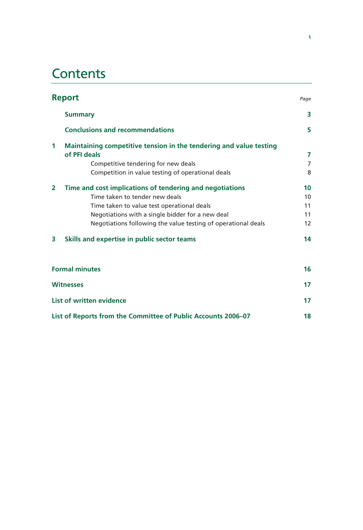# **Contents**

| <b>Report</b>                                                                                                                                                                                                                                                                   | Page                       |
|---------------------------------------------------------------------------------------------------------------------------------------------------------------------------------------------------------------------------------------------------------------------------------|----------------------------|
| <b>Summary</b>                                                                                                                                                                                                                                                                  | 3                          |
| <b>Conclusions and recommendations</b>                                                                                                                                                                                                                                          | 5                          |
| Maintaining competitive tension in the tendering and value testing<br>1<br>of PFI deals<br>Competitive tendering for new deals<br>Competition in value testing of operational deals                                                                                             | 7<br>$\overline{7}$<br>8   |
| $\overline{2}$<br>Time and cost implications of tendering and negotiations<br>Time taken to tender new deals<br>Time taken to value test operational deals<br>Negotiations with a single bidder for a new deal<br>Negotiations following the value testing of operational deals | 10<br>10<br>11<br>11<br>12 |
| Skills and expertise in public sector teams<br>3                                                                                                                                                                                                                                | 14                         |
| <b>Formal minutes</b>                                                                                                                                                                                                                                                           | 16                         |
| <b>Witnesses</b>                                                                                                                                                                                                                                                                | 17                         |
| <b>List of written evidence</b>                                                                                                                                                                                                                                                 | 17                         |

**List of Reports from the Committee of Public Accounts 2006–07 18**

**1**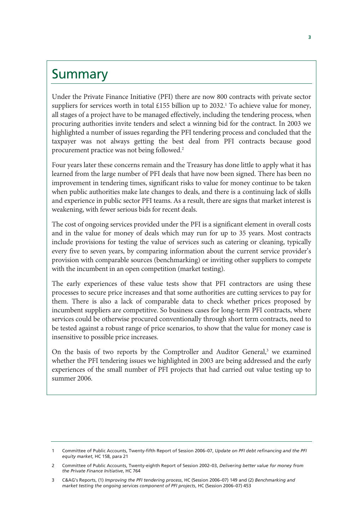# Summary

Under the Private Finance Initiative (PFI) there are now 800 contracts with private sector suppliers for services worth in total £155 billion up to 2032.<sup>1</sup> To achieve value for money, all stages of a project have to be managed effectively, including the tendering process, when procuring authorities invite tenders and select a winning bid for the contract. In 2003 we highlighted a number of issues regarding the PFI tendering process and concluded that the taxpayer was not always getting the best deal from PFI contracts because good procurement practice was not being followed.2

Four years later these concerns remain and the Treasury has done little to apply what it has learned from the large number of PFI deals that have now been signed. There has been no improvement in tendering times, significant risks to value for money continue to be taken when public authorities make late changes to deals, and there is a continuing lack of skills and experience in public sector PFI teams. As a result, there are signs that market interest is weakening, with fewer serious bids for recent deals.

The cost of ongoing services provided under the PFI is a significant element in overall costs and in the value for money of deals which may run for up to 35 years. Most contracts include provisions for testing the value of services such as catering or cleaning, typically every five to seven years, by comparing information about the current service provider's provision with comparable sources (benchmarking) or inviting other suppliers to compete with the incumbent in an open competition (market testing).

The early experiences of these value tests show that PFI contractors are using these processes to secure price increases and that some authorities are cutting services to pay for them. There is also a lack of comparable data to check whether prices proposed by incumbent suppliers are competitive. So business cases for long-term PFI contracts, where services could be otherwise procured conventionally through short term contracts, need to be tested against a robust range of price scenarios, to show that the value for money case is insensitive to possible price increases.

On the basis of two reports by the Comptroller and Auditor General,<sup>3</sup> we examined whether the PFI tendering issues we highlighted in 2003 are being addressed and the early experiences of the small number of PFI projects that had carried out value testing up to summer 2006.

<sup>1</sup> Committee of Public Accounts, Twenty-fifth Report of Session 2006–07, *Update on PFI debt refinancing and the PFI equity market*, HC 158, para 21

<sup>2</sup> Committee of Public Accounts, Twenty-eighth Report of Session 2002–03, *Delivering better value for money from the Private Finance Initiative*, HC 764

<sup>3</sup> C&AG's Reports, (1) *Improving the PFI tendering process*, HC (Session 2006–07) 149 and (2) *Benchmarking and market testing the ongoing services component of PFI projects*, HC (Session 2006–07) 453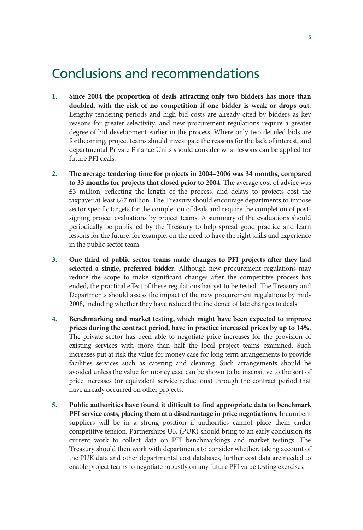# Conclusions and recommendations

- **1. Since 2004 the proportion of deals attracting only two bidders has more than doubled, with the risk of no competition if one bidder is weak or drops out.** Lengthy tendering periods and high bid costs are already cited by bidders as key reasons for greater selectivity, and new procurement regulations require a greater degree of bid development earlier in the process. Where only two detailed bids are forthcoming, project teams should investigate the reasons for the lack of interest, and departmental Private Finance Units should consider what lessons can be applied for future PFI deals.
- **2. The average tendering time for projects in 2004–2006 was 34 months, compared to 33 months for projects that closed prior to 2004**. The average cost of advice was £3 million, reflecting the length of the process, and delays to projects cost the taxpayer at least £67 million. The Treasury should encourage departments to impose sector specific targets for the completion of deals and require the completion of postsigning project evaluations by project teams. A summary of the evaluations should periodically be published by the Treasury to help spread good practice and learn lessons for the future, for example, on the need to have the right skills and experience in the public sector team.
- **3. One third of public sector teams made changes to PFI projects after they had selected a single, preferred bidder.** Although new procurement regulations may reduce the scope to make significant changes after the competitive process has ended, the practical effect of these regulations has yet to be tested. The Treasury and Departments should assess the impact of the new procurement regulations by mid-2008, including whether they have reduced the incidence of late changes to deals.
- **4. Benchmarking and market testing, which might have been expected to improve prices during the contract period, have in practice increased prices by up to 14%.** The private sector has been able to negotiate price increases for the provision of existing services with more than half the local project teams examined. Such increases put at risk the value for money case for long term arrangements to provide facilities services such as catering and cleaning. Such arrangements should be avoided unless the value for money case can be shown to be insensitive to the sort of price increases (or equivalent service reductions) through the contract period that have already occurred on other projects.
- **5. Public authorities have found it difficult to find appropriate data to benchmark PFI service costs, placing them at a disadvantage in price negotiations.** Incumbent suppliers will be in a strong position if authorities cannot place them under competitive tension. Partnerships UK (PUK) should bring to an early conclusion its current work to collect data on PFI benchmarkings and market testings. The Treasury should then work with departments to consider whether, taking account of the PUK data and other departmental cost databases, further cost data are needed to enable project teams to negotiate robustly on any future PFI value testing exercises.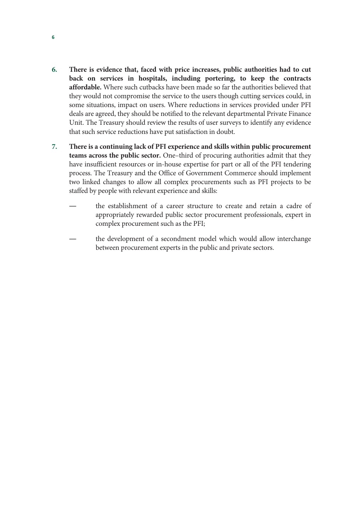- **6. There is evidence that, faced with price increases, public authorities had to cut back on services in hospitals, including portering, to keep the contracts affordable.** Where such cutbacks have been made so far the authorities believed that they would not compromise the service to the users though cutting services could, in some situations, impact on users. Where reductions in services provided under PFI deals are agreed, they should be notified to the relevant departmental Private Finance Unit. The Treasury should review the results of user surveys to identify any evidence that such service reductions have put satisfaction in doubt.
- **7. There is a continuing lack of PFI experience and skills within public procurement teams across the public sector.** One–third of procuring authorities admit that they have insufficient resources or in-house expertise for part or all of the PFI tendering process. The Treasury and the Office of Government Commerce should implement two linked changes to allow all complex procurements such as PFI projects to be staffed by people with relevant experience and skills:
	- the establishment of a career structure to create and retain a cadre of appropriately rewarded public sector procurement professionals, expert in complex procurement such as the PFI;
	- the development of a secondment model which would allow interchange between procurement experts in the public and private sectors.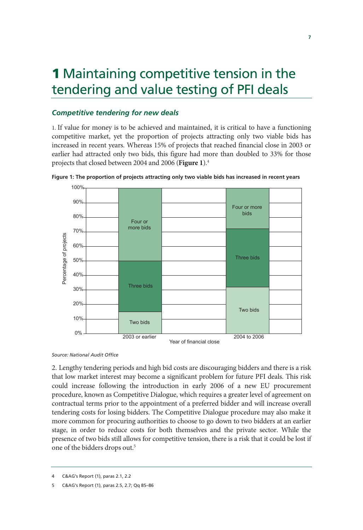# 1 Maintaining competitive tension in the tendering and value testing of PFI deals

## *Competitive tendering for new deals*

1. If value for money is to be achieved and maintained, it is critical to have a functioning competitive market, yet the proportion of projects attracting only two viable bids has increased in recent years. Whereas 15% of projects that reached financial close in 2003 or earlier had attracted only two bids, this figure had more than doubled to 33% for those projects that closed between 2004 and 2006 (**Figure 1**).4



**Figure 1: The proportion of projects attracting only two viable bids has increased in recent years** 

*Source: National Audit Office* 

2. Lengthy tendering periods and high bid costs are discouraging bidders and there is a risk that low market interest may become a significant problem for future PFI deals. This risk could increase following the introduction in early 2006 of a new EU procurement procedure, known as Competitive Dialogue, which requires a greater level of agreement on contractual terms prior to the appointment of a preferred bidder and will increase overall tendering costs for losing bidders. The Competitive Dialogue procedure may also make it more common for procuring authorities to choose to go down to two bidders at an earlier stage, in order to reduce costs for both themselves and the private sector. While the presence of two bids still allows for competitive tension, there is a risk that it could be lost if one of the bidders drops out.<sup>5</sup>

<sup>4</sup> C&AG's Report (1), paras 2.1, 2.2

<sup>5</sup> C&AG's Report (1), paras 2.5, 2.7; Qq 85–86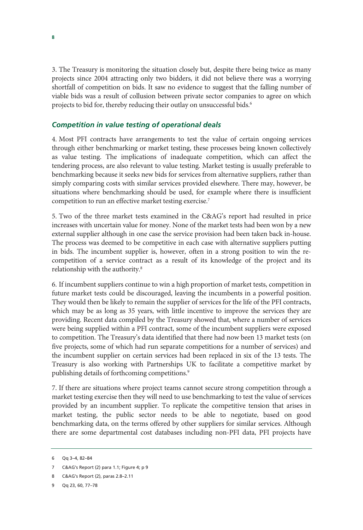3. The Treasury is monitoring the situation closely but, despite there being twice as many projects since 2004 attracting only two bidders, it did not believe there was a worrying shortfall of competition on bids. It saw no evidence to suggest that the falling number of viable bids was a result of collusion between private sector companies to agree on which projects to bid for, thereby reducing their outlay on unsuccessful bids.<sup>6</sup>

### *Competition in value testing of operational deals*

4. Most PFI contracts have arrangements to test the value of certain ongoing services through either benchmarking or market testing, these processes being known collectively as value testing. The implications of inadequate competition, which can affect the tendering process, are also relevant to value testing. Market testing is usually preferable to benchmarking because it seeks new bids for services from alternative suppliers, rather than simply comparing costs with similar services provided elsewhere. There may, however, be situations where benchmarking should be used, for example where there is insufficient competition to run an effective market testing exercise.<sup>7</sup>

5. Two of the three market tests examined in the C&AG's report had resulted in price increases with uncertain value for money. None of the market tests had been won by a new external supplier although in one case the service provision had been taken back in-house. The process was deemed to be competitive in each case with alternative suppliers putting in bids. The incumbent supplier is, however, often in a strong position to win the recompetition of a service contract as a result of its knowledge of the project and its relationship with the authority.8

6. If incumbent suppliers continue to win a high proportion of market tests, competition in future market tests could be discouraged, leaving the incumbents in a powerful position. They would then be likely to remain the supplier of services for the life of the PFI contracts, which may be as long as 35 years, with little incentive to improve the services they are providing. Recent data compiled by the Treasury showed that, where a number of services were being supplied within a PFI contract, some of the incumbent suppliers were exposed to competition. The Treasury's data identified that there had now been 13 market tests (on five projects, some of which had run separate competitions for a number of services) and the incumbent supplier on certain services had been replaced in six of the 13 tests. The Treasury is also working with Partnerships UK to facilitate a competitive market by publishing details of forthcoming competitions.<sup>9</sup>

7. If there are situations where project teams cannot secure strong competition through a market testing exercise then they will need to use benchmarking to test the value of services provided by an incumbent supplier. To replicate the competitive tension that arises in market testing, the public sector needs to be able to negotiate, based on good benchmarking data, on the terms offered by other suppliers for similar services. Although there are some departmental cost databases including non-PFI data, PFI projects have

<sup>6</sup> Qq 3–4, 82–84

<sup>7</sup> C&AG's Report (2) para 1.1; Figure 4; p 9

<sup>8</sup> C&AG's Report (2), paras 2.8–2.11

<sup>9</sup> Qq 23, 60, 77–78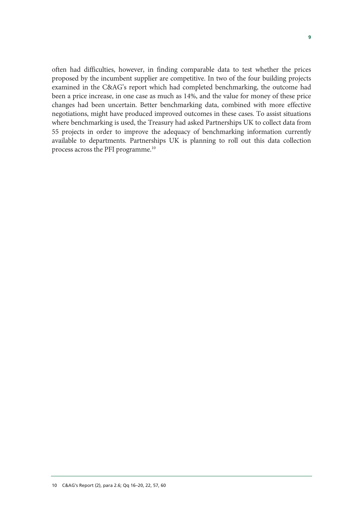often had difficulties, however, in finding comparable data to test whether the prices proposed by the incumbent supplier are competitive. In two of the four building projects examined in the C&AG's report which had completed benchmarking, the outcome had been a price increase, in one case as much as 14%, and the value for money of these price changes had been uncertain. Better benchmarking data, combined with more effective negotiations, might have produced improved outcomes in these cases. To assist situations where benchmarking is used, the Treasury had asked Partnerships UK to collect data from 55 projects in order to improve the adequacy of benchmarking information currently available to departments. Partnerships UK is planning to roll out this data collection process across the PFI programme.10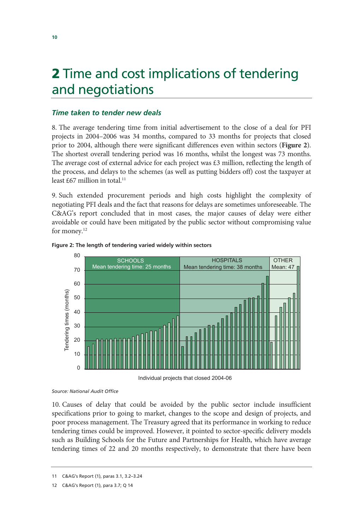# 2 Time and cost implications of tendering and negotiations

## *Time taken to tender new deals*

8. The average tendering time from initial advertisement to the close of a deal for PFI projects in 2004–2006 was 34 months, compared to 33 months for projects that closed prior to 2004, although there were significant differences even within sectors (**Figure 2**). The shortest overall tendering period was 16 months, whilst the longest was 73 months. The average cost of external advice for each project was  $\pounds 3$  million, reflecting the length of the process, and delays to the schemes (as well as putting bidders off) cost the taxpayer at least  $£67$  million in total.<sup>11</sup>

9. Such extended procurement periods and high costs highlight the complexity of negotiating PFI deals and the fact that reasons for delays are sometimes unforeseeable. The C&AG's report concluded that in most cases, the major causes of delay were either avoidable or could have been mitigated by the public sector without compromising value for money.<sup>12</sup>



### **Figure 2: The length of tendering varied widely within sectors**

Individual projects that closed 2004-06

*Source: National Audit Office* 

10. Causes of delay that could be avoided by the public sector include insufficient specifications prior to going to market, changes to the scope and design of projects, and poor process management. The Treasury agreed that its performance in working to reduce tendering times could be improved. However, it pointed to sector-specific delivery models such as Building Schools for the Future and Partnerships for Health, which have average tendering times of 22 and 20 months respectively, to demonstrate that there have been

<sup>11</sup> C&AG's Report (1), paras 3.1, 3.2–3.24

<sup>12</sup> C&AG's Report (1), para 3.7; Q 14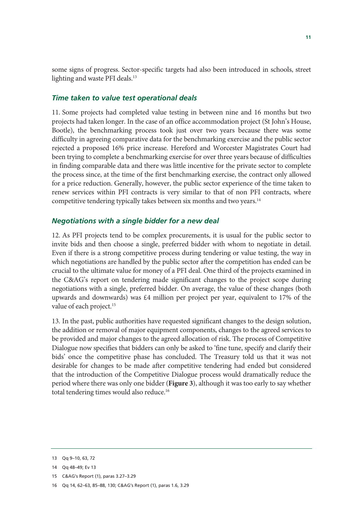some signs of progress. Sector-specific targets had also been introduced in schools, street lighting and waste PFI deals.<sup>13</sup>

### *Time taken to value test operational deals*

11. Some projects had completed value testing in between nine and 16 months but two projects had taken longer. In the case of an office accommodation project (St John's House, Bootle), the benchmarking process took just over two years because there was some difficulty in agreeing comparative data for the benchmarking exercise and the public sector rejected a proposed 16% price increase. Hereford and Worcester Magistrates Court had been trying to complete a benchmarking exercise for over three years because of difficulties in finding comparable data and there was little incentive for the private sector to complete the process since, at the time of the first benchmarking exercise, the contract only allowed for a price reduction. Generally, however, the public sector experience of the time taken to renew services within PFI contracts is very similar to that of non PFI contracts, where competitive tendering typically takes between six months and two years.<sup>14</sup>

### *Negotiations with a single bidder for a new deal*

12. As PFI projects tend to be complex procurements, it is usual for the public sector to invite bids and then choose a single, preferred bidder with whom to negotiate in detail. Even if there is a strong competitive process during tendering or value testing, the way in which negotiations are handled by the public sector after the competition has ended can be crucial to the ultimate value for money of a PFI deal. One third of the projects examined in the C&AG's report on tendering made significant changes to the project scope during negotiations with a single, preferred bidder. On average, the value of these changes (both upwards and downwards) was £4 million per project per year, equivalent to 17% of the value of each project.<sup>15</sup>

13. In the past, public authorities have requested significant changes to the design solution, the addition or removal of major equipment components, changes to the agreed services to be provided and major changes to the agreed allocation of risk. The process of Competitive Dialogue now specifies that bidders can only be asked to 'fine tune, specify and clarify their bids' once the competitive phase has concluded. The Treasury told us that it was not desirable for changes to be made after competitive tendering had ended but considered that the introduction of the Competitive Dialogue process would dramatically reduce the period where there was only one bidder (**Figure 3**), although it was too early to say whether total tendering times would also reduce.<sup>16</sup>

<sup>13</sup> Qq 9–10, 63, 72

<sup>14</sup> Qq 48–49; Ev 13

<sup>15</sup> C&AG's Report (1), paras 3.27–3.29

<sup>16</sup> Qq 14, 62–63, 85–88, 130; C&AG's Report (1), paras 1.6, 3.29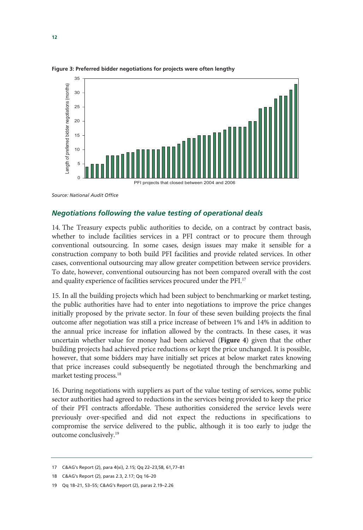

**Figure 3: Preferred bidder negotiations for projects were often lengthy** 

*Source: National Audit Office* 

### *Negotiations following the value testing of operational deals*

14. The Treasury expects public authorities to decide, on a contract by contract basis, whether to include facilities services in a PFI contract or to procure them through conventional outsourcing. In some cases, design issues may make it sensible for a construction company to both build PFI facilities and provide related services. In other cases, conventional outsourcing may allow greater competition between service providers. To date, however, conventional outsourcing has not been compared overall with the cost and quality experience of facilities services procured under the PFI.17

15. In all the building projects which had been subject to benchmarking or market testing, the public authorities have had to enter into negotiations to improve the price changes initially proposed by the private sector. In four of these seven building projects the final outcome after negotiation was still a price increase of between 1% and 14% in addition to the annual price increase for inflation allowed by the contracts. In these cases, it was uncertain whether value for money had been achieved (**Figure 4**) given that the other building projects had achieved price reductions or kept the price unchanged. It is possible, however, that some bidders may have initially set prices at below market rates knowing that price increases could subsequently be negotiated through the benchmarking and market testing process.<sup>18</sup>

16. During negotiations with suppliers as part of the value testing of services, some public sector authorities had agreed to reductions in the services being provided to keep the price of their PFI contracts affordable. These authorities considered the service levels were previously over-specified and did not expect the reductions in specifications to compromise the service delivered to the public, although it is too early to judge the outcome conclusively.19

<sup>17</sup> C&AG's Report (2), para 4(xi), 2.15; Qq 22–23,58, 61,77–81

<sup>18</sup> C&AG's Report (2), paras 2.3, 2.17; Qq 16–20

<sup>19</sup> Qq 18–21, 53–55; C&AG's Report (2), paras 2.19–2.26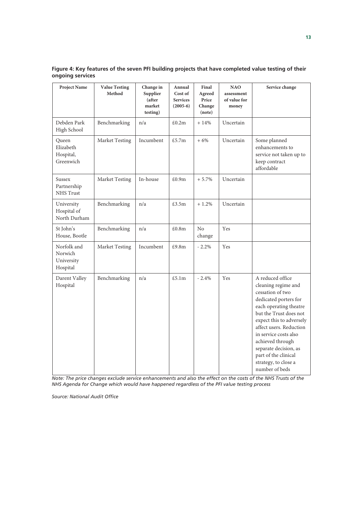| <b>Project Name</b>                              | <b>Value Testing</b><br>Method | Change in<br>Supplier<br>(after<br>market<br>testing) | Annual<br>Cost of<br><b>Services</b><br>$(2005-6)$ | Final<br>Agreed<br>Price<br>Change<br>(note) | <b>NAO</b><br>assessment<br>of value for<br>money | Service change                                                                                                                                                                                                                                                                                                                          |
|--------------------------------------------------|--------------------------------|-------------------------------------------------------|----------------------------------------------------|----------------------------------------------|---------------------------------------------------|-----------------------------------------------------------------------------------------------------------------------------------------------------------------------------------------------------------------------------------------------------------------------------------------------------------------------------------------|
| Debden Park<br>High School                       | Benchmarking                   | n/a                                                   | £0.2m                                              | $+14%$                                       | Uncertain                                         |                                                                                                                                                                                                                                                                                                                                         |
| Queen<br>Elizabeth<br>Hospital,<br>Greenwich     | Market Testing                 | Incumbent                                             | £5.7m                                              | $+6%$                                        | Uncertain                                         | Some planned<br>enhancements to<br>service not taken up to<br>keep contract<br>affordable                                                                                                                                                                                                                                               |
| Sussex<br>Partnership<br>NHS Trust               | Market Testing                 | In-house                                              | £0.9m                                              | $+5.7%$                                      | Uncertain                                         |                                                                                                                                                                                                                                                                                                                                         |
| University<br>Hospital of<br>North Durham        | Benchmarking                   | n/a                                                   | £3.5m                                              | $+1.2%$                                      | Uncertain                                         |                                                                                                                                                                                                                                                                                                                                         |
| St John's<br>House, Bootle                       | Benchmarking                   | n/a                                                   | £0.8m                                              | N <sub>o</sub><br>change                     | Yes                                               |                                                                                                                                                                                                                                                                                                                                         |
| Norfolk and<br>Norwich<br>University<br>Hospital | Market Testing                 | Incumbent                                             | £9.8m                                              | $-2.2\%$                                     | Yes                                               |                                                                                                                                                                                                                                                                                                                                         |
| Darent Valley<br>Hospital                        | Benchmarking                   | n/a                                                   | £5.1m                                              | $-2.4%$                                      | Yes                                               | A reduced office<br>cleaning regime and<br>cessation of two<br>dedicated porters for<br>each operating theatre<br>but the Trust does not<br>expect this to adversely<br>affect users. Reduction<br>in service costs also<br>achieved through<br>separate decision, as<br>part of the clinical<br>strategy, to close a<br>number of beds |

**Figure 4: Key features of the seven PFI building projects that have completed value testing of their ongoing services** 

*Note: The price changes exclude service enhancements and also the effect on the costs of the NHS Trusts of the NHS Agenda for Change which would have happened regardless of the PFI value testing process* 

*Source: National Audit Office*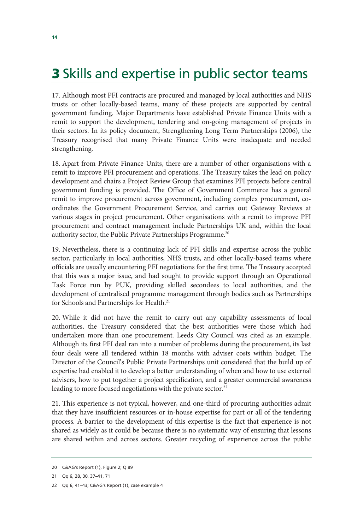# **3** Skills and expertise in public sector teams

17. Although most PFI contracts are procured and managed by local authorities and NHS trusts or other locally-based teams, many of these projects are supported by central government funding. Major Departments have established Private Finance Units with a remit to support the development, tendering and on-going management of projects in their sectors. In its policy document, Strengthening Long Term Partnerships (2006), the Treasury recognised that many Private Finance Units were inadequate and needed strengthening.

18. Apart from Private Finance Units, there are a number of other organisations with a remit to improve PFI procurement and operations. The Treasury takes the lead on policy development and chairs a Project Review Group that examines PFI projects before central government funding is provided. The Office of Government Commerce has a general remit to improve procurement across government, including complex procurement, coordinates the Government Procurement Service, and carries out Gateway Reviews at various stages in project procurement. Other organisations with a remit to improve PFI procurement and contract management include Partnerships UK and, within the local authority sector, the Public Private Partnerships Programme.<sup>20</sup>

19. Nevertheless, there is a continuing lack of PFI skills and expertise across the public sector, particularly in local authorities, NHS trusts, and other locally-based teams where officials are usually encountering PFI negotiations for the first time. The Treasury accepted that this was a major issue, and had sought to provide support through an Operational Task Force run by PUK, providing skilled secondees to local authorities, and the development of centralised programme management through bodies such as Partnerships for Schools and Partnerships for Health.<sup>21</sup>

20. While it did not have the remit to carry out any capability assessments of local authorities, the Treasury considered that the best authorities were those which had undertaken more than one procurement. Leeds City Council was cited as an example. Although its first PFI deal ran into a number of problems during the procurement, its last four deals were all tendered within 18 months with adviser costs within budget. The Director of the Council's Public Private Partnerships unit considered that the build up of expertise had enabled it to develop a better understanding of when and how to use external advisers, how to put together a project specification, and a greater commercial awareness leading to more focused negotiations with the private sector.<sup>22</sup>

21. This experience is not typical, however, and one-third of procuring authorities admit that they have insufficient resources or in-house expertise for part or all of the tendering process. A barrier to the development of this expertise is the fact that experience is not shared as widely as it could be because there is no systematic way of ensuring that lessons are shared within and across sectors. Greater recycling of experience across the public

<sup>20</sup> C&AG's Report (1), Figure 2; Q 89

<sup>21</sup> Qq 6, 28, 30, 37–41, 71

<sup>22</sup> Qq 6, 41–43; C&AG's Report (1), case example 4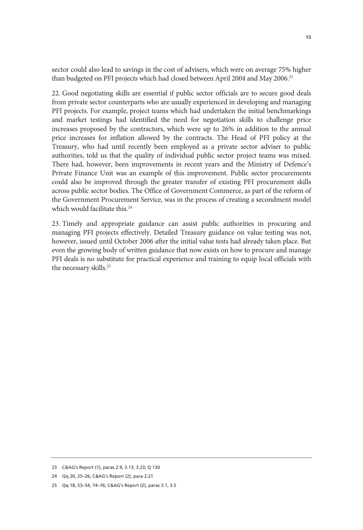sector could also lead to savings in the cost of advisers, which were on average 75% higher than budgeted on PFI projects which had closed between April 2004 and May 2006.<sup>23</sup>

22. Good negotiating skills are essential if public sector officials are to secure good deals from private sector counterparts who are usually experienced in developing and managing PFI projects. For example, project teams which had undertaken the initial benchmarkings and market testings had identified the need for negotiation skills to challenge price increases proposed by the contractors, which were up to 26% in addition to the annual price increases for inflation allowed by the contracts. The Head of PFI policy at the Treasury, who had until recently been employed as a private sector adviser to public authorities, told us that the quality of individual public sector project teams was mixed. There had, however, been improvements in recent years and the Ministry of Defence's Private Finance Unit was an example of this improvement. Public sector procurements could also be improved through the greater transfer of existing PFI procurement skills across public sector bodies. The Office of Government Commerce, as part of the reform of the Government Procurement Service, was in the process of creating a secondment model which would facilitate this.<sup>24</sup>

23. Timely and appropriate guidance can assist public authorities in procuring and managing PFI projects effectively. Detailed Treasury guidance on value testing was not, however, issued until October 2006 after the initial value tests had already taken place. But even the growing body of written guidance that now exists on how to procure and manage PFI deals is no substitute for practical experience and training to equip local officials with the necessary skills.<sup>25</sup>

<sup>23</sup> C&AG's Report (1), paras 2.9, 3.13, 3.23; Q 130

<sup>24</sup> Qq 20, 25–26; C&AG's Report (2), para 2.21

<sup>25</sup> Qq 18, 53–54, 74–76; C&AG's Report (2), paras 3.1, 3.5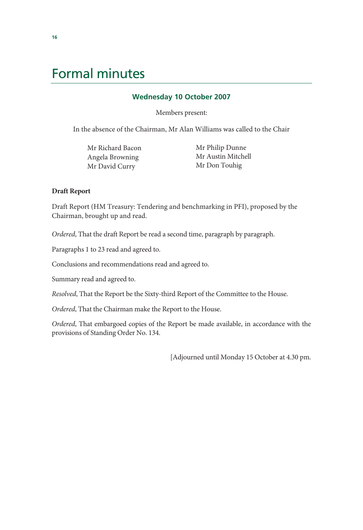# Formal minutes

### **Wednesday 10 October 2007**

Members present:

In the absence of the Chairman, Mr Alan Williams was called to the Chair

Mr Richard Bacon Angela Browning Mr David Curry

 Mr Philip Dunne Mr Austin Mitchell Mr Don Touhig

### **Draft Report**

Draft Report (HM Treasury: Tendering and benchmarking in PFI), proposed by the Chairman, brought up and read.

*Ordered*, That the draft Report be read a second time, paragraph by paragraph.

Paragraphs 1 to 23 read and agreed to.

Conclusions and recommendations read and agreed to.

Summary read and agreed to.

*Resolved*, That the Report be the Sixty-third Report of the Committee to the House.

*Ordered*, That the Chairman make the Report to the House.

*Ordered*, That embargoed copies of the Report be made available, in accordance with the provisions of Standing Order No. 134.

[Adjourned until Monday 15 October at 4.30 pm.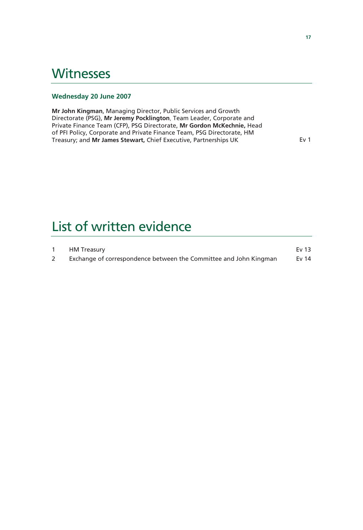# **Witnesses**

### **Wednesday 20 June 2007**

**Mr John Kingman**, Managing Director, Public Services and Growth Directorate (PSG), **Mr Jeremy Pocklington**, Team Leader, Corporate and Private Finance Team (CFP), PSG Directorate, **Mr Gordon McKechnie,** Head of PFI Policy, Corporate and Private Finance Team, PSG Directorate, HM Treasury; and Mr James Stewart, Chief Executive, Partnerships UK **Example 2018** Ev 1

# List of written evidence

| HM Treasury                                                       | Ev 13 |
|-------------------------------------------------------------------|-------|
| Exchange of correspondence between the Committee and John Kingman | Ev 14 |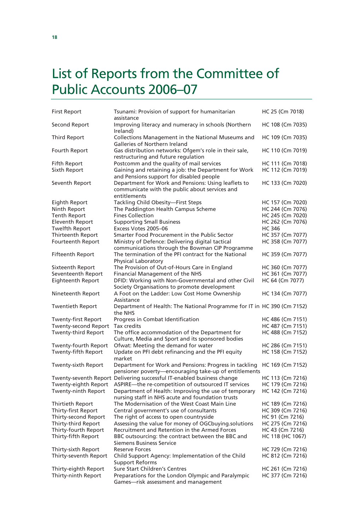# List of Reports from the Committee of Public Accounts 2006–07

| <b>First Report</b>                         | Tsunami: Provision of support for humanitarian<br>assistance                                                          | HC 25 (Cm 7018)                      |  |
|---------------------------------------------|-----------------------------------------------------------------------------------------------------------------------|--------------------------------------|--|
| Second Report                               | Improving literacy and numeracy in schools (Northern<br>Ireland)                                                      | HC 108 (Cm 7035)                     |  |
| <b>Third Report</b>                         | Collections Management in the National Museums and<br><b>Galleries of Northern Ireland</b>                            | HC 109 (Cm 7035)                     |  |
| Fourth Report                               | Gas distribution networks: Ofgem's role in their sale,<br>restructuring and future regulation                         | HC 110 (Cm 7019)                     |  |
| Fifth Report                                | Postcomm and the quality of mail services                                                                             | HC 111 (Cm 7018)                     |  |
| Sixth Report                                | Gaining and retaining a job: the Department for Work<br>and Pensions support for disabled people                      | HC 112 (Cm 7019)                     |  |
| Seventh Report                              | Department for Work and Pensions: Using leaflets to<br>communicate with the public about services and<br>entitlements | HC 133 (Cm 7020)                     |  |
| Eighth Report                               | Tackling Child Obesity-First Steps                                                                                    | HC 157 (Cm 7020)                     |  |
| Ninth Report                                | The Paddington Health Campus Scheme                                                                                   | HC 244 (Cm 7076)                     |  |
| <b>Tenth Report</b>                         | <b>Fines Collection</b>                                                                                               | HC 245 (Cm 7020)                     |  |
| <b>Eleventh Report</b>                      | <b>Supporting Small Business</b>                                                                                      | HC 262 (Cm 7076)                     |  |
| <b>Twelfth Report</b>                       | Excess Votes 2005-06                                                                                                  | <b>HC 346</b>                        |  |
| Thirteenth Report                           | Smarter Food Procurement in the Public Sector                                                                         | HC 357 (Cm 7077)                     |  |
| Fourteenth Report                           | Ministry of Defence: Delivering digital tactical<br>communications through the Bowman CIP Programme                   | HC 358 (Cm 7077)                     |  |
| <b>Fifteenth Report</b>                     | The termination of the PFI contract for the National<br><b>Physical Laboratory</b>                                    | HC 359 (Cm 7077)                     |  |
| Sixteenth Report                            | The Provision of Out-of-Hours Care in England                                                                         | HC 360 (Cm 7077)                     |  |
| Seventeenth Report                          | Financial Management of the NHS                                                                                       | HC 361 (Cm 7077)                     |  |
| Eighteenth Report                           | DFID: Working with Non-Governmental and other Civil<br>Society Organisations to promote development                   | HC 64 (Cm 7077)                      |  |
| Nineteenth Report                           | A Foot on the Ladder: Low Cost Home Ownership<br>Assistance                                                           | HC 134 (Cm 7077)                     |  |
| <b>Twentieth Report</b>                     | Department of Health: The National Programme for IT in HC 390 (Cm 7152)<br>the NHS                                    |                                      |  |
| Twenty-first Report                         | Progress in Combat Identification                                                                                     | HC 486 (Cm 7151)                     |  |
| <b>Twenty-second Report</b>                 | Tax credits                                                                                                           | HC 487 (Cm 7151)                     |  |
| <b>Twenty-third Report</b>                  | The office accommodation of the Department for<br>Culture, Media and Sport and its sponsored bodies                   | HC 488 (Cm 7152)                     |  |
| Twenty-fourth Report<br>Twenty-fifth Report | Ofwat: Meeting the demand for water<br>Update on PFI debt refinancing and the PFI equity<br>market                    | HC 286 (Cm 7151)<br>HC 158 (Cm 7152) |  |
| Twenty-sixth Report                         | Department for Work and Pensions: Progress in tackling<br>pensioner poverty-encouraging take-up of entitlements       | HC 169 (Cm 7152)                     |  |
|                                             | Twenty-seventh Report Delivering successful IT-enabled business change                                                | HC 113 (Cm 7216)                     |  |
| Twenty-eighth Report                        | ASPIRE-the re-competition of outsourced IT services                                                                   | HC 179 (Cm 7216)                     |  |
| Twenty-ninth Report                         | Department of Health: Improving the use of temporary<br>nursing staff in NHS acute and foundation trusts              | HC 142 (Cm 7216)                     |  |
| Thirtieth Report                            | The Modernisation of the West Coast Main Line                                                                         | HC 189 (Cm 7216)                     |  |
| Thirty-first Report                         | Central government's use of consultants                                                                               | HC 309 (Cm 7216)                     |  |
| Thirty-second Report                        | The right of access to open countryside                                                                               | HC 91 (Cm 7216)                      |  |
| Thirty-third Report                         | Assessing the value for money of OGCbuying solutions                                                                  | HC 275 (Cm 7216)                     |  |
| Thirty-fourth Report                        | Recruitment and Retention in the Armed Forces                                                                         | HC 43 (Cm 7216)                      |  |
| Thirty-fifth Report                         | BBC outsourcing: the contract between the BBC and<br><b>Siemens Business Service</b>                                  | HC 118 (HC 1067)                     |  |
| Thirty-sixth Report                         | <b>Reserve Forces</b>                                                                                                 | HC 729 (Cm 7216)                     |  |
| Thirty-seventh Report                       | Child Support Agency: Implementation of the Child<br><b>Support Reforms</b>                                           | HC 812 (Cm 7216)                     |  |
| Thirty-eighth Report                        | Sure Start Children's Centres                                                                                         | HC 261 (Cm 7216)                     |  |
| Thirty-ninth Report                         | Preparations for the London Olympic and Paralympic<br>Games-risk assessment and management                            | HC 377 (Cm 7216)                     |  |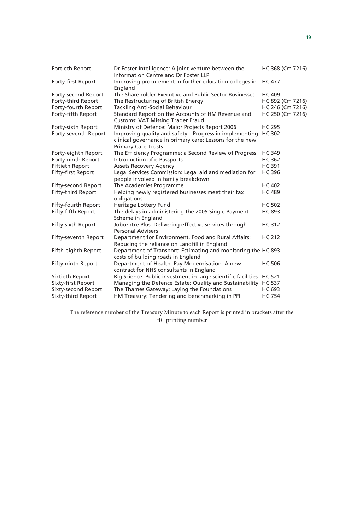| Fortieth Report            | Dr Foster Intelligence: A joint venture between the<br>Information Centre and Dr Foster LLP                                                     | HC 368 (Cm 7216) |
|----------------------------|-------------------------------------------------------------------------------------------------------------------------------------------------|------------------|
| Forty-first Report         | Improving procurement in further education colleges in<br>England                                                                               | <b>HC 477</b>    |
| Forty-second Report        | The Shareholder Executive and Public Sector Businesses                                                                                          | <b>HC 409</b>    |
| Forty-third Report         | The Restructuring of British Energy                                                                                                             | HC 892 (Cm 7216) |
| Forty-fourth Report        | <b>Tackling Anti-Social Behaviour</b>                                                                                                           | HC 246 (Cm 7216) |
| Forty-fifth Report         | Standard Report on the Accounts of HM Revenue and<br><b>Customs: VAT Missing Trader Fraud</b>                                                   | HC 250 (Cm 7216) |
| Forty-sixth Report         | Ministry of Defence: Major Projects Report 2006                                                                                                 | <b>HC 295</b>    |
| Forty-seventh Report       | Improving quality and safety-Progress in implementing<br>clinical governance in primary care: Lessons for the new<br><b>Primary Care Trusts</b> | <b>HC 302</b>    |
| Forty-eighth Report        | The Efficiency Programme: a Second Review of Progress                                                                                           | <b>HC 349</b>    |
| Forty-ninth Report         | Introduction of e-Passports                                                                                                                     | <b>HC 362</b>    |
| <b>Fiftieth Report</b>     | <b>Assets Recovery Agency</b>                                                                                                                   | <b>HC 391</b>    |
| Fifty-first Report         | Legal Services Commission: Legal aid and mediation for<br>people involved in family breakdown                                                   | <b>HC 396</b>    |
| <b>Fifty-second Report</b> | The Academies Programme                                                                                                                         | <b>HC 402</b>    |
| Fifty-third Report         | Helping newly registered businesses meet their tax<br>obligations                                                                               | <b>HC 489</b>    |
| Fifty-fourth Report        | Heritage Lottery Fund                                                                                                                           | <b>HC 502</b>    |
| Fifty-fifth Report         | The delays in administering the 2005 Single Payment<br>Scheme in England                                                                        | <b>HC 893</b>    |
| Fifty-sixth Report         | Jobcentre Plus: Delivering effective services through<br><b>Personal Advisers</b>                                                               | <b>HC 312</b>    |
| Fifty-seventh Report       | Department for Environment, Food and Rural Affairs:<br>Reducing the reliance on Landfill in England                                             | <b>HC 212</b>    |
| Fifth-eighth Report        | Department of Transport: Estimating and monitoring the HC 893<br>costs of building roads in England                                             |                  |
| Fifty-ninth Report         | Department of Health: Pay Modernisation: A new<br>contract for NHS consultants in England                                                       | <b>HC 506</b>    |
| Sixtieth Report            | Big Science: Public investment in large scientific facilities                                                                                   | <b>HC 521</b>    |
| Sixty-first Report         | Managing the Defence Estate: Quality and Sustainability                                                                                         | <b>HC 537</b>    |
| Sixty-second Report        | The Thames Gateway: Laying the Foundations                                                                                                      | <b>HC 693</b>    |
| Sixty-third Report         | HM Treasury: Tendering and benchmarking in PFI                                                                                                  | <b>HC 754</b>    |

The reference number of the Treasury Minute to each Report is printed in brackets after the HC printing number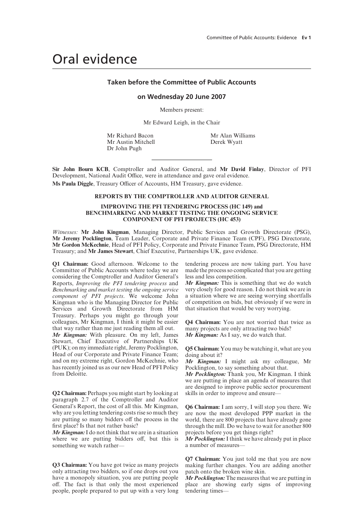# Oral evidence

### **Taken before the Committee of Public Accounts**

#### **on Wednesday 20 June 2007**

Members present:

Mr Edward Leigh, in the Chair

Mr Austin Mitchell Dr John Pugh

Mr Richard Bacon<br>
Mr Austin Mitchell<br>
Derek Wyatt

**Sir John Bourn KCB**, Comptroller and Auditor General, and **Mr David Finlay**, Director of PFI Development, National Audit Office, were in attendance and gave oral evidence.

Ms Paula Diggle, Treasury Officer of Accounts, HM Treasury, gave evidence.

#### **REPORTS BY THE COMPTROLLER AND AUDITOR GENERAL**

#### **IMPROVING THE PFI TENDERING PROCESS (HC 149) and BENCHMARKING AND MARKET TESTING THE ONGOING SERVICE COMPONENT OF PFI PROJECTS (HC 453)**

*Witnesses:* **Mr John Kingman**, Managing Director, Public Services and Growth Directorate (PSG), **Mr Jeremy Pocklington**, Team Leader, Corporate and Private Finance Team (CPF), PSG Directorate, **Mr Gordon McKechnie**, Head of PFI Policy, Corporate and Private Finance Team, PSG Directorate, HM Treasury; and **Mr James Stewart**, Chief Executive, Partnerships UK, gave evidence.

**Q1 Chairman:** Good afternoon. Welcome to the Committee of Public Accounts where today we are considering the Comptroller and Auditor General's Reports, *Improving the PFI tendering process* and *Benchmarking and market testing the ongoing service component of PFI projects*. We welcome John Kingman who is the Managing Director for Public Services and Growth Directorate from HM Treasury. Perhaps you might go through your colleagues, Mr Kingman, I think it might be easier that way rather than me just reading them all out.

*Mr Kingman:* With pleasure. On my left, James Stewart, Chief Executive of Partnerships UK (PUK); on my immediate right, Jeremy Pocklington, Head of our Corporate and Private Finance Team; and on my extreme right, Gordon McKechnie, who has recently joined us as our new Head of PFI Policy from Deloitte.

**Q2 Chairman:** Perhaps you might start by looking at paragraph 2.7 of the Comptroller and Auditor General's Report, the cost of all this. Mr Kingman, why are you letting tendering costs rise so much they are putting so many bidders off the process in the first place? Is that not rather basic?

*Mr Kingman:*I do not think that we are in a situation where we are putting bidders off, but this is something we watch rather—

**Q3 Chairman:** You have got twice as many projects only attracting two bidders, so if one drops out you have a monopoly situation, you are putting people off. The fact is that only the most experienced people, people prepared to put up with a very long tendering process are now taking part. You have made the process so complicated that you are getting less and less competition.

*Mr Kingman:* This is something that we do watch very closely for good reason. I do not think we are in a situation where we are seeing worrying shortfalls of competition on bids, but obviously if we were in that situation that would be very worrying.

**Q4 Chairman:** You are not worried that twice as many projects are only attracting two bids? *Mr Kingman:* As I say, we do watch that.

**Q5 Chairman:** You may be watching it, what are you doing about it?

*Mr Kingman:* I might ask my colleague, Mr Pocklington, to say something about that.

*Mr Pocklington:* Thank you, Mr Kingman. I think we are putting in place an agenda of measures that are designed to improve public sector procurement skills in order to improve and ensure—

**Q6 Chairman:** I am sorry, I will stop you there. We are now the most developed PPP market in the world, there are 800 projects that have already gone through the mill. Do we have to wait for another 800 projects before you get things right?

*Mr Pocklington:*I think we have already put in place a number of measures—

**Q7 Chairman:** You just told me that you are now making further changes. You are adding another patch onto the broken wine skin.

*Mr Pocklington:* The measures that we are putting in place are showing early signs of improving tendering times—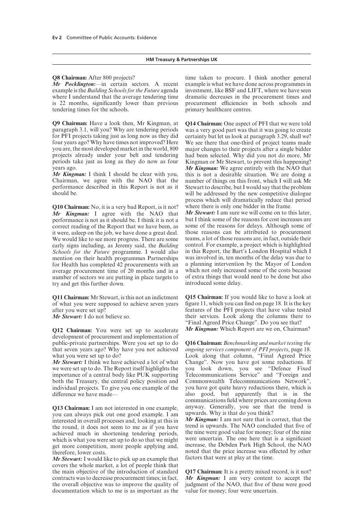#### **Q8 Chairman:** After 800 projects?

*Mr Pocklington:*—in certain sectors. A recent example is the *Building Schools for the Future* agenda where I understand that the average tendering time is 22 months, significantly lower than previous tendering times for the schools.

**Q9 Chairman:** Have a look then, Mr Kingman, at paragraph 3.1, will you? Why are tendering periods for PFI projects taking just as long now as they did four years ago? Why have times not improved? Here you are, the most developed market in the world, 800 projects already under your belt and tendering periods take just as long as they do now as four years ago.

*Mr Kingman:* I think I should be clear with you, Chairman, we agree with the NAO that the performance described in this Report is not as it should be.

**Q10 Chairman:** No, it is a very bad Report, is it not? *Mr Kingman:* I agree with the NAO that performance is not as it should be. I think it is not a correct reading of the Report that we have been, as it were, asleep on the job, we have done a great deal. We would like to see more progress. There are some early signs including, as Jeremy said, the *Building Schools for the Future* programme. I would also mention on their health programmes Partnerships for Health has completed 42 procurements with an average procurement time of 20 months and in a number of sectors we are putting in place targets to try and get this further down.

**Q11 Chairman:** Mr Stewart, is this not an indictment of what you were supposed to achieve seven years after you were set up?

*Mr Stewart:* I do not believe so.

**Q12 Chairman:** You were set up to accelerate development of procurement and implementation of public-private partnerships. Were you set up to do that seven years ago? Why have you not achieved what you were set up to do?

*Mr Stewart:* I think we have achieved a lot of what we were set up to do. The Report itself highlights the importance of a central body like PUK supporting both the Treasury, the central policy position and individual projects. To give you one example of the difference we have made-

**Q13 Chairman:** I am not interested in one example, you can always pick out one good example. I am interested in overall processes and, looking at this in the round, it does not seem to me as if you have achieved much in shortening tendering periods, which is what you were set up to do so that we might get more competition, more people applying and, therefore, lower costs.

*Mr Stewart:* I would like to pick up an example that covers the whole market, a lot of people think that the main objective of the introduction of standard contracts was to decrease procurement times; in fact, the overall objective was to improve the quality of documentation which to me is as important as the

time taken to procure. I think another general example is what we have done across programmes in investment, like BSF and LIFT, where we have seen dramatic decreases in the procurement times and procurement efficiencies in both schools and primary healthcare centres.

**Q14 Chairman:** One aspect of PFI that we were told was a very good part was that it was going to create certainty but let us look at paragraph 3.29, shall we? We see there that one-third of project teams made major changes to their projects after a single bidder had been selected. Why did you not do more, Mr Kingman or Mr Stewart, to prevent this happening? *Mr Kingman:* We agree entirely with the NAO that this is not a desirable situation. We are doing a number of things on this front, which I will ask Mr Stewart to describe, but I would say that the problem will be addressed by the new competitive dialogue process which will dramatically reduce that period where there is only one bidder in the frame.

*Mr Stewart:* I am sure we will come on to this later, but I think some of the reasons for cost increases are some of the reasons for delays. Although some of those reasons can be attributed to procurement teams, a lot of those reasons are, in fact, outside their control. For example, a project which is highlighted in this Report, the Bart's London Hospital which I was involved in, ten months of the delay was due to a planning intervention by the Mayor of London which not only increased some of the costs because of extra things that would need to be done but also introduced some delay.

**Q15 Chairman:** If you would like to have a look at figure 11, which you can find on page 18. It is the key features of the PFI projects that have value tested their services. Look along the columns there to "Final Agreed Price Change". Do you see that? *Mr Kingman:* Which Report are we on, Chairman?

**Q16 Chairman:** *Benchmarking and market testing the ongoing services component of PFI projects*, page 18. Look along that column, "Final Agreed Price Change". Now you have got some reductions. If you look down, you see "Defence Fixed Telecommunications Service" and "Foreign and Commonwealth Telecommunications Network", you have got quite heavy reductions there, which is also good, but apparently that is in the communications field where prices are coming down anyway. Generally, you see that the trend is upwards. Why is that do you think?

*Mr Kingman:* I am not sure that is correct, that the trend is upwards. The NAO concluded that five of the nine were good value for money; four of the nine were uncertain. The one here that is a significant increase, the Debden Park High School, the NAO noted that the price increase was effected by other factors that were at play at the time.

**Q17 Chairman:** It is a pretty mixed record, is it not? *Mr Kingman:* I am very content to accept the judgment of the NAO, that five of these were good value for money; four were uncertain.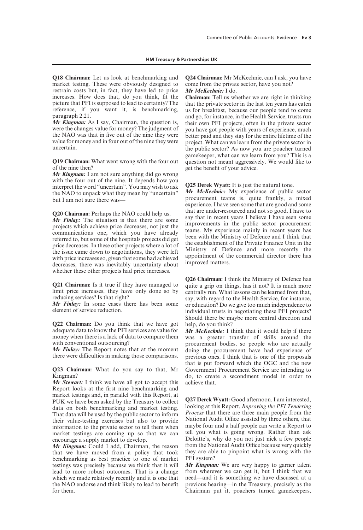**Q18 Chairman:** Let us look at benchmarking and market testing. These were obviously designed to restrain costs but, in fact, they have led to price increases. How does that, do you think, fit the picture that PFI is supposed to lead to certainty? The reference, if you want it, is benchmarking, paragraph 2.21.

*Mr Kingman:* As I say, Chairman, the question is, were the changes value for money? The judgment of the NAO was that in five out of the nine they were value for money and in four out of the nine they were uncertain.

**Q19 Chairman:** What went wrong with the four out of the nine then?

*Mr Kingman:* I am not sure anything did go wrong with the four out of the nine. It depends how you interpret the word "uncertain". You may wish to ask the NAO to unpack what they mean by "uncertain" but I am not sure there was-

**Q20 Chairman:** Perhaps the NAO could help us.

*Mr Finlay:* The situation is that there are some projects which achieve price decreases, not just the communications one, which you have already referred to, but some of the hospitals projects did get price decreases. In these other projects where a lot of the issue came down to negotiations, they were left with price increases so, given that some had achieved decreases, there was inevitably uncertainty about whether these other projects had price increases.

**Q21 Chairman:** Is it true if they have managed to limit price increases, they have only done so by reducing services? Is that right?

*Mr Finlay:* In some cases there has been some element of service reduction.

**Q22 Chairman:** Do you think that we have got adequate data to know the PFI services are value for money when there is a lack of data to compare them with conventional outsourcing?

*Mr Finlay:* The Report notes that at the moment there were difficulties in making those comparisons.

**Q23 Chairman:** What do you say to that, Mr Kingman?

*Mr Stewart:* I think we have all got to accept this Report looks at the first nine benchmarking and market testings and, in parallel with this Report, at PUK we have been asked by the Treasury to collect data on both benchmarking and market testing. That data will be used by the public sector to inform their value-testing exercises but also to provide information to the private sector to tell them when market testings are coming up so that we can encourage a supply market to develop.

*Mr Kingman:* Could I add, Chairman, the reason that we have moved from a policy that took benchmarking as best practice to one of market testings was precisely because we think that it will lead to more robust outcomes. That is a change which we made relatively recently and it is one that the NAO endorse and think likely to lead to benefit for them.

**Q24 Chairman:** Mr McKechnie, can I ask, you have come from the private sector, have you not? *Mr McKechnie:* I do.

**Chairman:** Tell us whether we are right in thinking that the private sector in the last ten years has eaten us for breakfast, because our people tend to come and go, for instance, in the Health Service, trusts run their own PFI projects, often in the private sector you have got people with years of experience, much better paid and they stay for the entire lifetime of the project. What can we learn from the private sector in the public sector? As now you are poacher turned gamekeeper, what can we learn from you? This is a question not meant aggressively. We would like to get the benefit of your advice.

**Q25 Derek Wyatt:** It is just the natural tone.

*Mr McKechnie:* My experience of public sector procurement teams is, quite frankly, a mixed experience. I have seen some that are good and some that are under-resourced and not so good. I have to say that in recent years I believe I have seen some improvements in the public sector procurement teams. My experience mainly in recent years has been with the Ministry of Defence and I think that the establishment of the Private Finance Unit in the Ministry of Defence and more recently the appointment of the commercial director there has improved matters.

**Q26 Chairman:** I think the Ministry of Defence has quite a grip on things, has it not? It is much more centrally run. What lessons can be learned from that, say, with regard to the Health Service, for instance, or education? Do we give too much independence to individual trusts in negotiating these PFI projects? Should there be maybe more central direction and help, do you think?

*Mr McKechnie:* I think that it would help if there was a greater transfer of skills around the procurement bodies, so people who are actually doing the procurement have had experience of previous ones. I think that is one of the proposals that is put forward which the OGC and the new Government Procurement Service are intending to do, to create a secondment model in order to achieve that.

**Q27 Derek Wyatt:** Good afternoon. I am interested, looking at this Report, *Improving the PFI Tendering Process* that there are three main people from the National Audit Office assisted by three others, that maybe four and a half people can write a Report to tell you what is going wrong. Rather than ask Deloitte's, why do you not just nick a few people from the National Audit Office because very quickly they are able to pinpoint what is wrong with the PFI system?

*Mr Kingman:* We are very happy to garner talent from wherever we can get it, but I think that we need—and it is something we have discussed at a previous hearing—in the Treasury, precisely as the Chairman put it, poachers turned gamekeepers,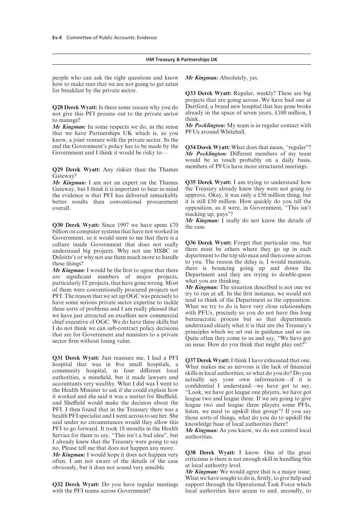#### **HM Treasury & Partnerships UK**

people who can ask the right questions and know how to make sure that we are not going to get eaten for breakfast by the private sector.

**Q28 Derek Wyatt:** Is there some reason why you do not give this PFI process out to the private sector to manage?

*Mr Kingman:* In some respects we do, in the sense that we have Partnerships UK which is, as you know, a joint venture with the private sector. In the end the Government's policy has to be made by the Government and I think it would be risky to—

**Q29 Derek Wyatt:** Any riskier than the Thames Gateway?

*Mr Kingman:* I am not an expert on the Thames Gateway, but I think it is important to bear in mind the evidence is that PFI has delivered remarkably better results than conventional procurement overall.

**Q30 Derek Wyatt:** Since 1997 we have spent £70 billion on computer systems that have not worked in Government, so it would seem to me that there is a culture inside Government that does not really understand big projects. Why not use HSBC or Deloitte's or why not use them much more to handle these things?

*Mr Kingman:* I would be the first to agree that there are significant numbers of major projects, particularly IT projects, that have gone wrong. Most of them were conventionally procured projects not PFI. The reason that we set up OGC was precisely to have some serious private sector expertise to tackle these sorts of problems and I am really pleased that we have just attracted an excellent new commercial chief executive of OGC. We do have these skills but I do not think we can sub-contract policy decisions that are for Government and ministers to a private sector firm without losing value.

**Q31 Derek Wyatt:** Just reassure me, I had a PFI hospital that was in five small hospitals, a community hospital, in four different local authorities, a minefield, but it made lawyers and accountants very wealthy. What I did was I went to the Health Minister to ask if she could explain how it worked and she said it was a matter for Sheffield, and Sheffield would make the decision about the PFI. I then found that in the Treasury there was a health PFI specialist and I went across to see her. She said under no circumstances would they allow this PFI to go forward. It took 18 months in the Health Service for them to say, "This isn't a bad idea", but I already knew that the Treasury were going to say no. Please tell me that does not happen any more. *Mr Kingman:* I would hope it does not happen very often. I am not aware of the details of the case obviously, but it does not sound very sensible.

**Q32 Derek Wyatt:** Do you have regular meetings with the PFI teams across Government?

*Mr Kingman:* Absolutely, yes.

**Q33 Derek Wyatt:** Regular, weekly? These are big projects that are going across. We have had one at Dartford, a brand new hospital that has gone broke already in the space of seven years, £100 million, I think.

*Mr Pocklington:* My team is in regular contact with PFUs around Whitehall.

**Q34 Derek Wyatt:** What does that mean, "regular"? *Mr Pocklington:* Different members of my team would be in touch probably on a daily basis, members of PFUs have more structured meetings.

**Q35 Derek Wyatt:** I am trying to understand how the Treasury already knew they were not going to approve. Okay, it was only a £50 million thing, but it is still £50 million. How quickly do you tell the opposition, as it were, in Government, "This isn't stacking up, guys"?

*Mr Kingman:* I really do not know the details of the case.

**Q36 Derek Wyatt:** Forget that particular one, but there must be others where they go up in each department to the top silo man and then come across to you. The reason the delay is, I would maintain, there is bouncing going up and down the Department and they are trying to double-guess what you are thinking.

*Mr Kingman:* The situation described is not one we try to run at all. In the first instance, we would not tend to think of the Department as the opposition. What we try to do is have very close relationships with PFUs, precisely so you do not have this long bureaucratic process but so that departments understand clearly what it is that are the Treasury's principles which we set out in guidance and so on. Quite often they come to us and say, "We have got an issue. How do you think that might play out?"

**Q37 Derek Wyatt:** I think I have exhausted that one. What makes me as nervous is the lack of financial skills in local authorities, so what do you do? Do you actually say your own information—if it is confidential I understand—we have got to say, "Look, we have got league one players, we have got league two and league three. If we are going to give league two and league three players some PFIs, listen, we need to upskill that group"? If you say those sorts of things, what do you do to upskill the knowledge base of local authorities there?

*Mr Kingman:* As you know, we do not control local authorities.

**Q38 Derek Wyatt:** I know. One of the great criticisms is there is not enough skill in handling this at local authority level.

*Mr Kingman:* We would agree that is a major issue. What we have sought to do is, firstly, to give help and support through the Operational Task Force which local authorities have access to and, secondly, to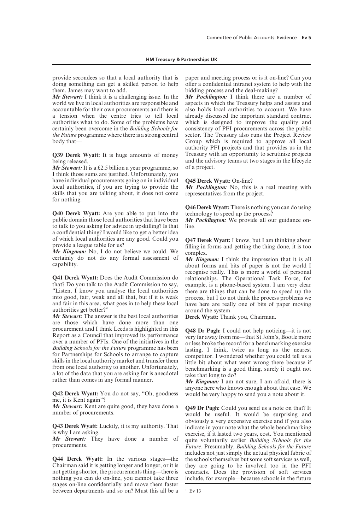#### **HM Treasury & Partnerships UK**

provide secondees so that a local authority that is doing something can get a skilled person to help them. James may want to add.

*Mr Stewart:* I think it is a challenging issue. In the world we live in local authorities are responsible and accountable for their own procurements and there is a tension when the centre tries to tell local authorities what to do. Some of the problems have certainly been overcome in the *Building Schools for the Future* programme where there is a strong central body that—

**Q39 Derek Wyatt:** It is huge amounts of money being released.

*Mr Stewart:* It is a £2.5 billion a year programme, so I think those sums are justified. Unfortunately, you have individual procurements going on in individual local authorities, if you are trying to provide the skills that you are talking about, it does not come for nothing.

**Q40 Derek Wyatt:** Are you able to put into the public domain those local authorities that have been to talk to you asking for advice in upskilling? Is that a confidential thing? I would like to get a better idea of which local authorities are any good. Could you provide a league table for us?

*Mr Kingman:* No, I do not believe we could. We certainly do not do any formal assessment of capability.

**Q41 Derek Wyatt:** Does the Audit Commission do that? Do you talk to the Audit Commission to say, "Listen, I know you analyse the local authorities into good, fair, weak and all that, but if it is weak and fair in this area, what goes in to help these local authorities get better?"

*Mr Stewart:* The answer is the best local authorities are those which have done more than one procurement and I think Leeds is highlighted in this Report as a Council that improved its performance over a number of PFIs. One of the initiatives in the *Building Schools for the Future* programme has been for Partnerships for Schools to arrange to capture skills in the local authority market and transfer them from one local authority to another. Unfortunately, a lot of the data that you are asking for is anecdotal rather than comes in any formal manner.

**Q42 Derek Wyatt:** You do not say, "Oh, goodness me, it is Kent again"?

*Mr Stewart:* Kent are quite good, they have done a number of procurements.

**Q43 Derek Wyatt:** Luckily, it is my authority. That is why I am asking.

*Mr Stewart:* They have done a number of procurements.

**Q44 Derek Wyatt:** In the various stages—the Chairman said it is getting longer and longer, or it is not getting shorter, the procurements thing—there is nothing you can do on-line, you cannot take three stages on-line confidentially and move them faster between departments and so on? Must this all be a paper and meeting process or is it on-line? Can you offer a confidential intranet system to help with the bidding process and the deal-making?

*Mr Pocklington:* I think there are a number of aspects in which the Treasury helps and assists and also holds local authorities to account. We have already discussed the important standard contract which is designed to improve the quality and consistency of PFI procurements across the public sector. The Treasury also runs the Project Review Group which is required to approve all local authority PFI projects and that provides us in the Treasury with an opportunity to scrutinise projects and the advisory teams at two stages in the lifecycle of a project.

#### **Q45 Derek Wyatt:** On-line?

*Mr Pocklington:* No, this is a real meeting with representatives from the project.

**Q46 Derek Wyatt:** There is nothing you can do using technology to speed up the process?

*Mr Pocklington:* We provide all our guidance online.

**Q47 Derek Wyatt:** I know, but I am thinking about filling in forms and getting the thing done, it is too complex.

*Mr Kingman:* I think the impression that it is all about forms and bits of paper is not the world I recognise really. This is more a world of personal relationships. The Operational Task Force, for example, is a phone-based system. I am very clear there are things that can be done to speed up the process, but I do not think the process problems we have here are really one of bits of paper moving around the system.

**Derek Wyatt:** Thank you, Chairman.

**Q48 Dr Pugh:** I could not help noticing—it is not very far away from me—that St John's, Bootle more or less broke the record for a benchmarking exercise lasting, I think, twice as long as the nearest competitor. I wondered whether you could tell us a little bit about what went wrong there because if benchmarking is a good thing, surely it ought not take that long to do?

*Mr Kingman:* I am not sure, I am afraid, there is anyone here who knows enough about that case. We would be very happy to send you a note about it.<sup>1</sup>

**Q49 Dr Pugh:** Could you send us a note on that? It would be useful. It would be surprising and obviously a very expensive exercise and if you also indicate in your note what the whole benchmarking exercise, if it lasted two years, cost. You mentioned quite voluntarily earlier *Building Schools for the Future*. Presumably, *Building Schools for the Future* includes not just simply the actual physical fabric of the schools themselves but some soft services as well, they are going to be involved too in the PFI contracts. Does the provision of soft services include, for example—because schools in the future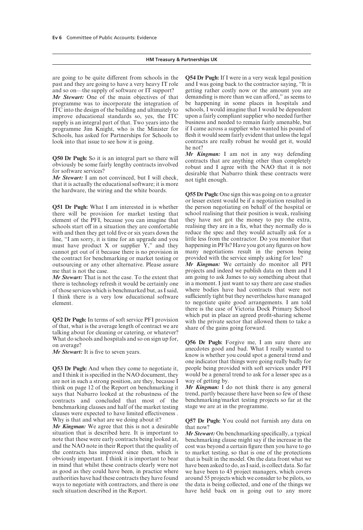are going to be quite different from schools in the past and they are going to have a very heavy IT role and so on—the supply of software or IT support? *Mr Stewart:* One of the main objectives of that programme was to incorporate the integration of ITC into the design of the building and ultimately to improve educational standards so, yes, the ITC supply is an integral part of that. Two years into the programme Jim Knight, who is the Minister for Schools, has asked for Partnerships for Schools to look into that issue to see how it is going.

**Q50 Dr Pugh:** So it is an integral part so there will obviously be some fairly lengthy contracts involved for software services?

*Mr Stewart:* I am not convinced, but I will check, that it is actually the educational software; it is more the hardware, the wiring and the white boards.

**Q51 Dr Pugh:** What I am interested in is whether there will be provision for market testing that element of the PFI, because you can imagine that schools start off in a situation they are comfortable with and then they get told five or six years down the line, "I am sorry, it is time for an upgrade and you must have product  $X$  or supplier  $Y$ ," and they cannot get out of it because there is no provision in the contract for benchmarking or market testing or outsourcing or any other alternative. Please assure me that is not the case.

*Mr Stewart:* That is not the case. To the extent that there is technology refresh it would be certainly one of those services which is benchmarked but, as I said, I think there is a very low educational software element.

**Q52 Dr Pugh:** In terms of soft service PFI provision of that, what is the average length of contract we are talking about for cleaning or catering, or whatever? What do schools and hospitals and so on sign up for, on average?

*Mr Stewart:* It is five to seven years.

**Q53 Dr Pugh:** And when they come to negotiate it, and I think it is specified in the NAO document, they are not in such a strong position, are they, because I think on page 12 of the Report on benchmarking it says that Nabarro looked at the robustness of the contracts and concluded that most of the benchmarking clauses and half of the market testing clauses were expected to have limited effectiveness. Why is that and what are we doing about it?

*Mr Kingman:* We agree that this is not a desirable situation that is described here. It is important to note that these were early contracts being looked at, and the NAO note in their Report that the quality of the contracts has improved since then, which is obviously important. I think it is important to bear in mind that whilst these contracts clearly were not as good as they could have been, in practice where authorities have had these contracts they have found ways to negotiate with contractors, and there is one such situation described in the Report.

**Q54 Dr Pugh:** If I were in a very weak legal position and I was going back to the contractor saying, "It is getting rather costly now or the amount you are demanding is more than we can afford," as seems to be happening in some places in hospitals and schools, I would imagine that I would be dependent upon a fairly compliant supplier who needed further business and needed to remain fairly amenable, but if I came across a supplier who wanted his pound of flesh it would seem fairly evident that unless the legal contracts are really robust he would get it, would he not?

*Mr Kingman:* I am not in any way defending contracts that are anything other than completely robust and I agree with the NAO that it is not desirable that Nabarro think these contracts were not tight enough.

**Q55 Dr Pugh:** One sign this was going on to a greater or lesser extent would be if a negotiation resulted in the person negotiating on behalf of the hospital or school realising that their position is weak, realising they have not got the money to pay the extra, realising they are in a fix, what they normally do is reduce the spec and they would actually ask for a little less from the contractor. Do you monitor that happening in PFIs? Have you got any figures on how many negotiations result in the person being provided with the service simply asking for less? *Mr Kingman:* We certainly do monitor all PFI projects and indeed we publish data on them and I am going to ask James to say something about that in a moment. I just want to say there are case studies where bodies have had contracts that were not sufficiently tight but they nevertheless have managed to negotiate quite good arrangements. I am told there is the case of Victoria Dock Primary School which put in place an agreed profit-sharing scheme with the private sector that allowed them to take a share of the gains going forward.

**Q56 Dr Pugh:** Forgive me, I am sure there are anecdotes good and bad. What I really wanted to know is whether you could spot a general trend and one indicator that things were going really badly for people being provided with soft services under PFI would be a general trend to ask for a lesser spec as a way of getting by.

*Mr Kingman:* I do not think there is any general trend, partly because there have been so few of these benchmarking/market testing projects so far at the stage we are at in the programme.

**Q57 Dr Pugh:** You could not furnish any data on that now?

*Mr Stewart:* On benchmarking specifically, a typical benchmarking clause might say if the increase in the cost was beyond a certain figure then you have to go to market testing, so that is one of the protections that is built in the model. On the data front what we have been asked to do, as I said, is collect data. So far we have been to 43 project managers, which covers around 55 projects which we consider to be pilots, so the data is being collected, and one of the things we have held back on is going out to any more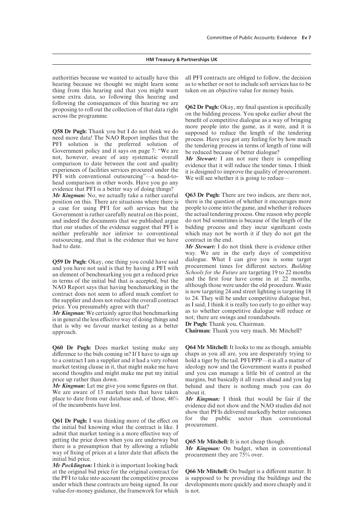authorities because we wanted to actually have this hearing because we thought we might learn some thing from this hearing and that you might want some extra data, so following this hearing and following the consequences of this hearing we are proposing to roll out the collection of that data right across the programme.

**Q58 Dr Pugh:** Thank you but I do not think we do need more data! The NAO Report implies that the PFI solution is the preferred solution of Government policy and it says on page 7: "We are not, however, aware of any systematic overall comparison to date between the cost and quality experiences of facilities services procured under the PFI with conventional outsourcing"—a head-tohead comparison in other words. Have you go any evidence that PFI is a better way of doing things?

*Mr Kingman:* No, we actually take a rather careful position on this. There are situations where there is a case for using PFI for soft services but the Government is rather carefully neutral on this point, and indeed the documents that we published argue that our studies of the evidence suggest that PFI is neither preferable nor inferior to conventional outsourcing, and that is the evidence that we have had to date.

**Q59 Dr Pugh:** Okay, one thing you could have said and you have not said is that by having a PFI with an element of benchmarking you get a reduced price in terms of the initial bid that is accepted, but the NAO Report says that having benchmarking in the contract does not seem to afford much comfort to the supplier and does not reduce the overall contract price. You presumably agree with that?

*Mr Kingman:* We certainly agree that benchmarking is in general the less effective way of doing things and that is why we favour market testing as a better approach.

**Q60 Dr Pugh:** Does market testing make any difference to the bids coming in? If I have to sign up to a contract I am a supplier and it had a very robust market testing clause in it, that might make me have second thoughts and might make me put my initial price up rather than down.

*Mr Kingman:* Let me give you some figures on that. We are aware of 13 market tests that have taken place to date from our database and, of those, 46% of the incumbents have lost.

**Q61 Dr Pugh:** I was thinking more of the effect on the initial bid knowing what the contract is like. I admit that market testing is a more effective way of getting the price down when you are underway but there is a presumption that by allowing a reliable way of fixing of prices at a later date that affects the initial bid price.

*Mr Pocklington:* I think it is important looking back at the original bid price for the original contract for the PFI to take into account the competitive process under which these contracts are being signed. In our value-for-money guidance, the framework for which all PFI contracts are obliged to follow, the decision as to whether or not to include soft services has to be taken on an objective value for money basis.

**Q62 Dr Pugh:** Okay, my final question is specifically on the bidding process. You spoke earlier about the benefit of competitive dialogue as a way of bringing more people into the game, as it were, and it is supposed to reduce the length of the tendering process. Have you got any feeling for by how much the tendering process in terms of length of time will be reduced because of better dialogue?

*Mr Stewart:* I am not sure there is compelling evidence that it will reduce the tender times. I think it is designed to improve the quality of procurement. We will see whether it is going to reduce-

**Q63 Dr Pugh:** There are two indices, are there not, there is the question of whether it encourages more people to come into the game, and whether it reduces the actual tendering process. One reason why people do not bid sometimes is because of the length of the bidding process and they incur significant costs which may not be worth it if they do not get the contract in the end.

*Mr Stewart:* I do not think there is evidence either way. We are in the early days of competitive dialogue. What I can give you is some target procurement times for different sectors. *Building Schools for the Future* are targeting 19 to 22 months and the first four have come in at 22 months, although those were under the old procedure. Waste is now targeting 24 and street lighting is targeting 18 to 24. They will be under competitive dialogue but, as I said, I think it is really too early to go either way as to whether competitive dialogue will reduce or not; there are swings and roundabouts.

**Dr Pugh:** Thank you, Chairman.

**Chairman:** Thank you very much. Mr Mitchell?

**Q64 Mr Mitchell:** It looks to me as though, amiable chaps as you all are, you are desperately trying to hold a tiger by the tail. PFI/PPP—it is all a matter of ideology now and the Government wants it pushed and you can manage a little bit of control at the margins, but basically it all roars ahead and you lag behind and there is nothing much you can do about it.

*Mr Kingman:* I think that would be fair if the evidence did not show and the NAO studies did not show that PFIs delivered markedly better outcomes for the public sector than conventional procurement.

**Q65 Mr Mitchell:** It is not cheap though. *Mr Kingman:* On budget, when in conventional procurement they are 75% over.

**Q66 Mr Mitchell:** On budget is a different matter. It is supposed to be providing the buildings and the developments more quickly and more cheaply and it is not.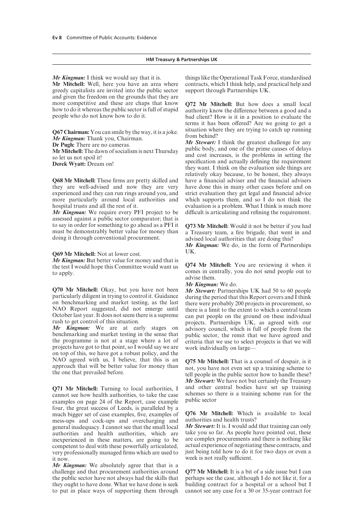#### **HM Treasury & Partnerships UK**

*Mr Kingman:* I think we would say that it is.

**Mr Mitchell:** Well, here you have an area where greedy capitalists are invited into the public sector and given the freedom on the grounds that they are more competitive and these are chaps that know how to do it whereas the public sector is full of stupid people who do not know how to do it.

**Q67 Chairman:** You can smile by the way, it is a joke. *Mr Kingman:* Thank you, Chairman.

**Dr Pugh:** There are no cameras.

**Mr Mitchell:** The dawn of socialism is next Thursday so let us not spoil it! **Derek Wyatt:** Dream on!

**Q68 Mr Mitchell:** These firms are pretty skilled and they are well-advised and now they are very experienced and they can run rings around you, and more particularly around local authorities and hospital trusts and all the rest of it.

*Mr Kingman:* We require every PFI project to be assessed against a public sector comparator; that is to say in order for something to go ahead as a PFI it must be demonstrably better value for money than doing it through conventional procurement.

#### **Q69 Mr Mitchell:** Not at lower cost.

*Mr Kingman:* But better value for money and that is the test I would hope this Committee would want us to apply.

**Q70 Mr Mitchell:** Okay, but you have not been particularly diligent in trying to control it. Guidance on benchmarking and market testing, as the last NAO Report suggested, did not emerge until October last year. It does not seem there is a supreme rush to get control of this situation.

*Mr Kingman:* We are at early stages on benchmarking and market testing in the sense that the programme is not at a stage where a lot of projects have got to that point, so I would say we are on top of this, we have got a robust policy, and the NAO agreed with us, I believe, that this is an approach that will be better value for money than the one that prevailed before.

**Q71 Mr Mitchell:** Turning to local authorities, I cannot see how health authorities, to take the case examples on page 24 of the Report, case example four, the great success of Leeds, is paralleled by a much bigger set of case examples, five, examples of mess-ups and cock-ups and overcharging and general inadequacy. I cannot see that the small local authorities and health authorities, which are inexperienced in these matters, are going to be competent to deal with these powerfully articulated, very professionally managed firms which are used to it now.

*Mr Kingman:* We absolutely agree that that is a challenge and that procurement authorities around the public sector have not always had the skills that they ought to have done. What we have done is seek to put in place ways of supporting them through things like the Operational Task Force, standardised contracts, which I think help, and practical help and support through Partnerships UK.

**Q72 Mr Mitchell:** But how does a small local authority know the difference between a good and a bad client? How is it in a position to evaluate the terms it has been offered? Are we going to get a situation where they are trying to catch up running from behind?

*Mr Stewart:* I think the greatest challenge for any public body, and one of the prime causes of delays and cost increases, is the problems in setting the specification and actually defining the requirement they want. I think on the evaluation side things are relatively okay because, to be honest, they always have a financial adviser and the financial advisers have done this in many other cases before and on strict evaluation they get legal and financial advice which supports them, and so I do not think the evaluation is a problem. What I think is much more difficult is articulating and refining the requirement.

**Q73 Mr Mitchell:** Would it not be better if you had a Treasury team, a fire brigade, that went in and advised local authorities that are doing this?

*Mr Kingman:* We do, in the form of Partnerships UK.

**Q74 Mr Mitchell:** You are reviewing it when it comes in centrally, you do not send people out to advise them.

#### *Mr Kingman:* We do.

*Mr Stewart:* Partnerships UK had 50 to 60 people during the period that this Report covers and I think there were probably 200 projects in procurement, so there is a limit to the extent to which a central team can put people on the ground on these individual projects. Partnerships UK, as agreed with our advisory council, which is full of people from the public sector, the remit that we have agreed and criteria that we use to select projects is that we will work individually on large—

**Q75 Mr Mitchell:** That is a counsel of despair, is it not, you have not even set up a training scheme to tell people in the public sector how to handle these? *Mr Stewart:* We have not but certainly the Treasury and other central bodies have set up training schemes so there is a training scheme run for the public sector

**Q76 Mr Mitchell:** Which is available to local authorities and health trusts?

*Mr Stewart:* It is. I would add that training can only take you so far. As people have pointed out, these are complex procurements and there is nothing like actual experience of negotiating these contracts, and just being told how to do it for two days or even a week is not really sufficient.

**Q77 Mr Mitchell:** It is a bit of a side issue but I can perhaps see the case, although I do not like it, for a building contract for a hospital or a school but I cannot see any case for a 30 or 35-year contract for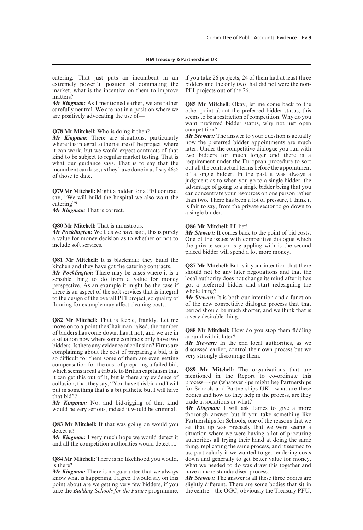catering. That just puts an incumbent in an extremely powerful position of dominating the market, what is the incentive on them to improve matters?

*Mr Kingman:* As I mentioned earlier, we are rather carefully neutral. We are not in a position where we are positively advocating the use of—

#### **Q78 Mr Mitchell:** Who is doing it then?

*Mr Kingman:* There are situations, particularly where it is integral to the nature of the project, where it can work, but we would expect contracts of that kind to be subject to regular market testing. That is what our guidance says. That is to say that the incumbent can lose, as they have done in as I say 46% of those to date.

**Q79 Mr Mitchell:** Might a bidder for a PFI contract say, "We will build the hospital we also want the catering"?

*Mr Kingman:* That is correct.

#### **Q80 Mr Mitchell:** That is monstrous.

*Mr Pocklington:* Well, as we have said, this is purely a value for money decision as to whether or not to include soft services.

**Q81 Mr Mitchell:** It is blackmail; they build the kitchen and they have got the catering contracts.

*Mr Pocklington:* There may be cases where it is a sensible thing to do from a value for money perspective. As an example it might be the case if there is an aspect of the soft services that is integral to the design of the overall PFI project, so quality of flooring for example may affect cleaning costs.

**Q82 Mr Mitchell:** That is feeble, frankly. Let me move on to a point the Chairman raised, the number of bidders has come down, has it not, and we are in a situation now where some contracts only have two bidders. Is there any evidence of collusion? Firms are complaining about the cost of preparing a bid, it is so difficult for them some of them are even getting compensation for the cost of preparing a failed bid, which seems a real a tribute to British capitalism that it can get this out of it, but is there any evidence of collusion, that they say, "You have this bid and I will put in something that is a bit pathetic but I will have that bid"?

*Mr Kingman:* No, and bid-rigging of that kind would be very serious, indeed it would be criminal.

**Q83 Mr Mitchell:** If that was going on would you detect it?

*Mr Kingman:* I very much hope we would detect it and all the competition authorities would detect it.

**Q84 Mr Mitchell:** There is no likelihood you would, is there?

*Mr Kingman:* There is no guarantee that we always know what is happening, I agree. I would say on this point about are we getting very few bidders, if you take the *Building Schools for the Future* programme, if you take 26 projects, 24 of them had at least three bidders and the only two that did not were the non-PFI projects out of the 26.

**Q85 Mr Mitchell:** Okay, let me come back to the other point about the preferred bidder status, this seems to be a restriction of competition. Why do you want preferred bidder status, why not just open competition?

*Mr Stewart:* The answer to your question is actually now the preferred bidder appointments are much later. Under the competitive dialogue you run with two bidders for much longer and there is a requirement under the European procedure to sort out all the contractual terms before the appointment of a single bidder. In the past it was always a judgment as to when you go to a single bidder, the advantage of going to a single bidder being that you can concentrate your resources on one person rather than two. There has been a lot of pressure, I think it is fair to say, from the private sector to go down to a single bidder.

#### **Q86 Mr Mitchell:** I'll bet!

*Mr Stewart:* It comes back to the point of bid costs. One of the issues with competitive dialogue which the private sector is grappling with is the second placed bidder will spend a lot more money.

**Q87 Mr Mitchell:** But is it your intention that there should not be any later negotiations and that the local authority does not change its mind after it has got a preferred bidder and start redesigning the whole thing?

*Mr Stewart:* It is both our intention and a function of the new competitive dialogue process that that period should be much shorter, and we think that is a very desirable thing.

**Q88 Mr Mitchell:** How do you stop them fiddling around with it later?

*Mr Stewart:* In the end local authorities, as we discussed earlier, control their own process but we very strongly discourage them.

**Q89 Mr Mitchell:** The organisations that are mentioned in the Report to co-ordinate this process—4ps (whatever 4ps might be) Partnerships for Schools and Partnerships UK—what are these bodies and how do they help in the process, are they trade associations or what?

*Mr Kingman:* I will ask James to give a more thorough answer but if you take something like Partnerships for Schools, one of the reasons that we set that up was precisely that we were seeing a situation where we were having a lot of procuring authorities all trying their hand at doing the same thing, replicating the same process, and it seemed to us, particularly if we wanted to get tendering costs down and generally to get better value for money, what we needed to do was draw this together and have a more standardised process.

*Mr Stewart:* The answer is all these three bodies are slightly different. There are some bodies that sit in the centre—the OGC, obviously the Treasury PFU,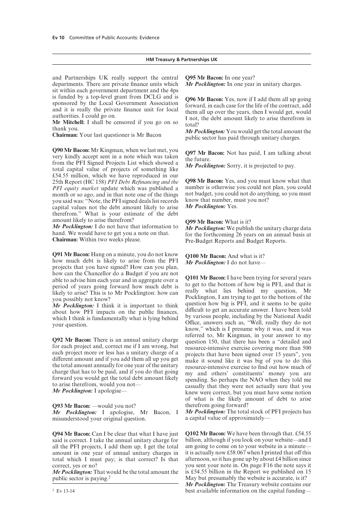#### **HM Treasury & Partnerships UK**

and Partnerships UK really support the central departments. There are private finance units which sit within each government department and the 4ps is funded by a top-level grant from DCLG and is sponsored by the Local Government Association and it is really the private finance unit for local authorities. I could go on.

**Mr Mitchell:** I shall be censored if you go on so thank you.

**Chairman:** Your last questioner is Mr Bacon

**Q90 Mr Bacon:** Mr Kingman, when we last met, you very kindly accept sent in a note which was taken from the PFI Signed Projects List which showed a total capital value of projects of something like £54.55 million, which we have reproduced in our 25th Report (HC 158) *PFI Debt Refinancing and the PFI equity market* update which was published a month or so ago, and in that note one of the things you said was: "Note, the PFI signed deals list records capital values not the debt amount likely to arise therefrom." What is your estimate of the debt amount likely to arise therefrom?

*Mr Pocklington:* I do not have that information to hand. We would have to get you a note on that. **Chairman:** Within two weeks please.

**Q91 Mr Bacon:** Hang on a minute, you do not know how much debt is likely to arise from the PFI projects that you have signed? How can you plan, how can the Chancellor do a Budget if you are not able to advise him each year and in aggregate over a period of years going forward how much debt is likely to arise? This is to Mr Pocklington: how can you possibly not know?

*Mr Pocklington:* I think it is important to think about how PFI impacts on the public finances, which I think is fundamentally what is lying behind your question.

**Q92 Mr Bacon:** There is an annual unitary charge for each project and, correct me if I am wrong, but each project more or less has a unitary charge of a different amount and if you add them all up you get the total amount annually for one year of the unitary charge that has to be paid, and if you do that going forward you would get the total debt amount likely to arise therefrom, would you not—

*Mr Pocklington:* I apologise—

**Q93 Mr Bacon:** —would you not?

*Mr Pocklington:* I apologise, Mr Bacon, I misunderstood your original question.

**Q94 Mr Bacon:** Can I be clear that what I have just said is correct. I take the annual unitary charge for all the PFI projects, I add them up, I get the total amount in one year of annual unitary charges in total which I must pay; is that correct? Is that correct, yes or no?

*Mr Pocklington:* That would be the total amount the public sector is paying.2

**Q95 Mr Bacon:** In one year?

*Mr Pocklington:* In one year in unitary charges.

**Q96 Mr Bacon:** Yes, now if I add them all up going forward, in each case for the life of the contract, add them all up over the years, then I would get, would I not, the debt amount likely to arise therefrom in total?

*Mr Pocklington:* You would get the total amount the public sector has paid through unitary charges.

**Q97 Mr Bacon:** Not has paid, I am talking about the future.

*Mr Pocklington:* Sorry, it is projected to pay.

**Q98 Mr Bacon:** Yes, and you must know what that number is otherwise you could not plan, you could not budget, you could not do anything, so you must know that number, must you not? *Mr Pocklington:* Yes.

**Q99 Mr Bacon:** What is it?

*Mr Pocklington:* We publish the unitary charge data for the forthcoming 26 years on an annual basis at Pre-Budget Reports and Budget Reports.

**Q100 Mr Bacon:** And what is it? *Mr Pocklington:* I do not have—

**Q101 Mr Bacon:** I have been trying for several years to get to the bottom of how big is PFI, and that is really what lies behind my question, Mr Pocklington, I am trying to get to the bottom of the question how big is PFI, and it seems to be quite difficult to get an accurate answer. I have been told by various people, including by the National Audit Office, answers such as, "Well, really they do not know," which is I presume why it was, and it was referred to, Mr Kingman, in your answer to my question 150, that there has been a "detailed and resource-intensive exercise covering more than 500 projects that have been signed over 15 years", you make it sound like it was big of you to do this resource-intensive exercise to find out how much of my and others' constituents' money you are spending. So perhaps the NAO when they told me casually that they were not actually sure that you knew were correct, but you must have some notion of what is the likely amount of debt to arise therefrom going forward?

*Mr Pocklington:* The total stock of PFI projects has a capital value of approximately—

**Q102 Mr Bacon:** We have been through that. £54.55 billion, although if you look on your website—and I am going to come on to your website in a minute it is actually now £58.067 when I printed that off this afternoon, so it has gone up by about £4 billion since you sent your note in. On page F16 the note says it is £54.55 billion in the Report we published on 15 May but presumably the website is accurate, is it? *Mr Pocklington:* The Treasury website contains our best available information on the capital funding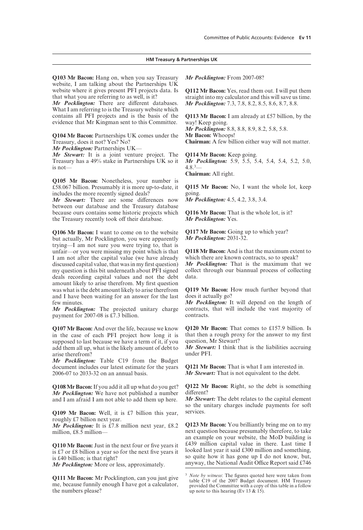**Q103 Mr Bacon:** Hang on, when you say Treasury website, I am talking about the Partnerships UK website where it gives present PFI projects data. Is that what you are referring to as well, is it?

*Mr Pocklington:* There are different databases. What I am referring to is the Treasury website which contains all PFI projects and is the basis of the evidence that Mr Kingman sent to this Committee.

**Q104 Mr Bacon:** Partnerships UK comes under the Treasury, does it not? Yes? No?

*Mr Pocklington:* Partnerships UK—

*Mr Stewart:* It is a joint venture project. The Treasury has a 49% stake in Partnerships UK so it is not—

**Q105 Mr Bacon:** Nonetheless, your number is £58.067 billion. Presumably it is more up-to-date, it includes the more recently signed deals?

*Mr Stewart:* There are some differences now between our database and the Treasury database because ours contains some historic projects which the Treasury recently took off their database.

**Q106 Mr Bacon:** I want to come on to the website but actually, Mr Pocklington, you were apparently trying—I am not sure you were trying to, that is unfair—or you were missing my point which is that I am not after the capital value (we have already discussed capital value, that was in my first question) my question is this bit underneath about PFI signed deals recording capital values and not the debt amount likely to arise therefrom. My first question was what is the debt amount likely to arise therefrom and I have been waiting for an answer for the last few minutes.

*Mr Pocklington:* The projected unitary charge payment for 2007-08 is £7.3 billion.

**Q107 Mr Bacon:** And over the life, because we know in the case of each PFI project how long it is supposed to last because we have a term of it, if you add them all up, what is the likely amount of debt to arise therefrom?

*Mr Pocklington:* Table C19 from the Budget document includes our latest estimate for the years 2006-07 to 2033-32 on an annual basis.

**Q108 Mr Bacon:**If you add it all up what do you get? *Mr Pocklington:* We have not published a number and I am afraid I am not able to add them up here.

**Q109 Mr Bacon:** Well, it is £7 billion this year, roughly £7 billion next year.

*Mr Pocklington:* It is £7.8 million next year, £8.2 million, £8.5 million—

**Q110 Mr Bacon:** Just in the next four or five years it is £7 or £8 billion a year so for the next five years it is £40 billion; is that right?

*Mr Pocklington:* More or less, approximately.

**Q111 Mr Bacon:** Mr Pocklington, can you just give me, because funnily enough I have got a calculator, the numbers please?

*Mr Pocklington:* From 2007-08?

**Q112 Mr Bacon:** Yes, read them out. I will put them straight into my calculator and this will save us time. *Mr Pocklington:* 7.3, 7.8, 8.2, 8.5, 8.6, 8.7, 8.8.

**Q113 Mr Bacon:** I am already at £57 billion, by the way! Keep going.

*Mr Pocklington:* 8.8, 8.8, 8.9, 8.2, 5.8, 5.8. **Mr Bacon:** Whoops!

**Chairman:** A few billion either way will not matter.

**Q114 Mr Bacon:** Keep going.

*Mr Pocklington:* 5.9, 5.5, 5.4, 5.4, 5.4, 5.2, 5.0,  $4.8<sup>3</sup>$ 

**Chairman:** All right.

**Q115 Mr Bacon:** No, I want the whole lot, keep going.

*Mr Pocklington:* 4.5, 4.2, 3.8, 3.4.

**Q116 Mr Bacon:** That is the whole lot, is it? *Mr Pocklington:* Yes.

**Q117 Mr Bacon:** Going up to which year? *Mr Pocklington:* 2031-32.

**Q118 Mr Bacon:** And is that the maximum extent to which there are known contracts, so to speak?

*Mr Pocklington:* That is the maximum that we collect through our biannual process of collecting data.

**Q119 Mr Bacon:** How much further beyond that does it actually go?

*Mr Pocklington:* It will depend on the length of contracts, that will include the vast majority of contracts.

**Q120 Mr Bacon:** That comes to £157.9 billion. Is that then a rough proxy for the answer to my first question, Mr Stewart?

*Mr Stewart:* I think that is the liabilities accruing under PFI.

**Q121 Mr Bacon:** That is what I am interested in. *Mr Stewart:* That is not equivalent to the debt.

**Q122 Mr Bacon:** Right, so the debt is something different?

*Mr Stewart:* The debt relates to the capital element so the unitary charges include payments for soft services.

**Q123 Mr Bacon:** You brilliantly bring me on to my next question because presumably therefore, to take an example on your website, the MoD building is £439 million capital value in there. Last time I looked last year it said £300 million and something, so quite how it has gone up I do not know, but, anyway, the National Audit Office Report said  $£746$ 

<sup>3</sup> *Note by witness*: The figures quoted here were taken from table C19 of the 2007 Budget document. HM Treasury provided the Committee with a copy of this table in a follow up note to this hearing (Ev 13  $\&$  15).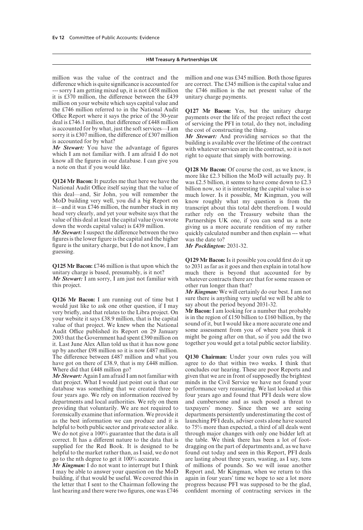#### **HM Treasury & Partnerships UK**

million was the value of the contract and the difference which is quite significance is accounted for --- sorry I am getting mixed up, it is not £458 million it is  $£370$  million, the difference between the £439 million on your website which says capital value and the £746 million referred to in the National Audit Office Report where it says the price of the 30-year deal is £746.1 million, that difference of £448 million is accounted for by what, just the soft services—I am sorry it is £307 million, the difference of £307 million is accounted for by what?

*Mr Stewart:* You have the advantage of figures which I am not familiar with. I am afraid I do not know all the figures in our database. I can give you a note on that if you would like.

**Q124 Mr Bacon:** It puzzles me that here we have the National Audit Office itself saying that the value of this deal—and, Sir John, you will remember the MoD building very well, you did a big Report on it—and it was £746 million, the number stuck in my head very clearly, and yet your website says that the value of this deal at least the capital value (you wrote down the words capital value) is £439 million.

*Mr Stewart:* I suspect the difference between the two figures is the lower figure is the capital and the higher figure is the unitary charge, but I do not know, I am guessing.

**Q125 Mr Bacon:** £746 million is that upon which the unitary charge is based, presumably, is it not?

*Mr Stewart:* I am sorry, I am just not familiar with this project.

**Q126 Mr Bacon:** I am running out of time but I would just like to ask one other question, if I may very briefly, and that relates to the Libra project. On your website it says £38.9 million, that is the capital value of that project. We knew when the National Audit Office published its Report on 29 January 2003 that the Government had spent £390 million on it. Last June Alex Allan told us that it has now gone up by another £98 million so it is now £487 million. The difference between £487 million and what you have got on there of £38.9, that is my £448 million. Where did that £448 million go?

*Mr Stewart:* Again I am afraid I am not familiar with that project. What I would just point out is that our database was something that we created three to four years ago. We rely on information received by departments and local authorities. We rely on them providing that voluntarily. We are not required to forensically examine that information. We provide it as the best information we can produce and it is helpful to both public sector and private sector alike. We do not give a 100% guarantee that the data is all correct. It has a different nature to the data that is supplied for the Red Book. It is designed to be helpful to the market rather than, as I said, we do not go to the nth degree to get it 100% accurate.

*Mr Kingman:* I do not want to interrupt but I think I may be able to answer your question on the MoD building, if that would be useful. We covered this in the letter that I sent to the Chairman following the last hearing and there were two figures, one was £746 million and one was £345 million. Both those figures are correct. The £345 million is the capital value and the £746 million is the net present value of the unitary charge payments.

**Q127 Mr Bacon:** Yes, but the unitary charge payments over the life of the project reflect the cost of servicing the PFI in total, do they not, including the cost of constructing the thing.

*Mr Stewart:* And providing services so that the building is available over the lifetime of the contract with whatever services are in the contract, so it is not right to equate that simply with borrowing.

**Q128 Mr Bacon:** Of course the cost, as we know, is more like £2.3 billion the MoD will actually pay. It was £2.5 billion, it seems to have come down to £2.3 billion now, so it is interesting the capital value is so much lower. Is it possible, Mr Kingman, you will know roughly what my question is from the transcript about this total debt therefrom. I would rather rely on the Treasury website than the Partnerships UK one, if you can send us a note giving us a more accurate rendition of my rather quickly calculated number and then explain --- what was the date to?

*Mr Pocklington:* 2031-32.

**Q129 Mr Bacon:**Is it possible you could first do it up to 2031 as far as it goes and then explain in total how much there is beyond that accounted for by whatever contracts there are that for some reason or other run longer than that?

*Mr Kingman:* We will certainly do our best. I am not sure there is anything very useful we will be able to say about the period beyond 2031-32.

**Mr Bacon:** I am looking for a number that probably is in the region of £150 billion to £160 billion, by the sound of it, but I would like a more accurate one and some assessment from you of where you think it might be going after on that, so if you add the two together you would get a total public sector liability.

**Q130 Chairman:** Under your own rules you will agree to do that within two weeks. I think that concludes our hearing. These are poor Reports and given that we are in front of supposedly the brightest minds in the Civil Service we have not found your performance very reassuring. We last looked at this four years ago and found that PFI deals were slow and cumbersome and as such posed a threat to taxpayers' money. Since then we are seeing departments persistently underestimating the cost of launching PFI deals, adviser costs alone have soared to 75% more than expected, a third of all deals went through major changes with only one bidder left at the table. We think there has been a lot of footdragging on the part of departments and, as we have found out today and seen in this Report, PFI deals are lasting about three years, wasting, as I say, tens of millions of pounds. So we will issue another Report and, Mr Kingman, when we return to this again in four years' time we hope to see a lot more progress because PFI was supposed to be the glad, confident morning of contracting services in the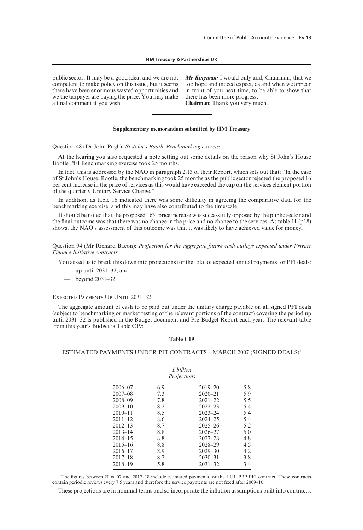#### **HM Treasury & Partnerships UK**

public sector. It may be a good idea, and we are not competent to make policy on this issue, but it seems there have been enormous wasted opportunities and we the taxpayer are paying the price. You may make a final comment if you wish.

*Mr Kingman:* I would only add, Chairman, that we too hope and indeed expect, as and when we appear in front of you next time, to be able to show that there has been more progress. **Chairman:** Thank you very much.

#### **Supplementary memorandum submitted by HM Treasury**

Question 48 (Dr John Pugh): *St John's Bootle Benchmarking exercise*

At the hearing you also requested a note setting out some details on the reason why St John's House Bootle PFI Benchmarking exercise took 25 months.

In fact, this is addressed by the NAO in paragraph 2.13 of their Report, which sets out that: "In the case of St John's House, Bootle, the benchmarking took 25 months as the public sector rejected the proposed 16 per cent increase in the price of services as this would have exceeded the cap on the services element portion of the quarterly Unitary Service Charge."

In addition, as table 16 indicated there was some difficulty in agreeing the comparative data for the benchmarking exercise, and this may have also contributed to the timescale.

It should be noted that the proposed 16% price increase was successfully opposed by the public sector and the final outcome was that there was no change in the price and no change to the services. As table 11 (p18) shows, the NAO's assessment of this outcome was that it was likely to have achieved value for money.

Question 94 (Mr Richard Bacon): *Projection for the aggregate future cash outlays expected under Private Finance Initiative contracts*

You asked us to break this down into projections for the total of expected annual payments for PFI deals:

- up until 2031–32; and
- beyond 2031–32.

#### Expected Payments Up Until 2031–32

The aggregate amount of cash to be paid out under the unitary charge payable on all signed PFI deals (subject to benchmarking or market testing of the relevant portions of the contract) covering the period up until 2031–32 is published in the Budget document and Pre-Budget Report each year. The relevant table from this year's Budget is Table C19:

#### **Table C19**

#### ESTIMATED PAYMENTS UNDER PFI CONTRACTS—MARCH 2007 (SIGNED DEALS)1

| f billion   |             |             |     |  |  |
|-------------|-------------|-------------|-----|--|--|
|             | Projections |             |     |  |  |
| $2006 - 07$ | 6.9         | $2019 - 20$ | 5.8 |  |  |
| $2007 - 08$ | 7.3         | $2020 - 21$ | 5.9 |  |  |
| $2008 - 09$ | 7.8         | $2021 - 22$ | 5.5 |  |  |
| $2009 - 10$ | 8.2         | $2022 - 23$ | 5.4 |  |  |
| $2010 - 11$ | 8.5         | $2023 - 24$ | 5.4 |  |  |
| $2011 - 12$ | 8.6         | $2024 - 25$ | 5.4 |  |  |
| $2012 - 13$ | 8.7         | $2025 - 26$ | 5.2 |  |  |
| $2013 - 14$ | 8.8         | $2026 - 27$ | 5.0 |  |  |
| $2014 - 15$ | 8.8         | $2027 - 28$ | 4.8 |  |  |
| $2015 - 16$ | 8.8         | $2028 - 29$ | 4.5 |  |  |
| $2016 - 17$ | 8.9         | $2029 - 30$ | 4.2 |  |  |
| $2017 - 18$ | 8.2         | $2030 - 31$ | 3.8 |  |  |
| $2018 - 19$ | 5.8         | $2031 - 32$ | 3.4 |  |  |

<sup>1</sup> The figures between 2006–07 and 2017–18 include estimated payments for the LUL PPP PFI contract. These contracts contain periodic reviews every 7.5 years and therefore the service payments are not fixed after 2009–10.

These projections are in nominal terms and so incorporate the inflation assumptions built into contracts.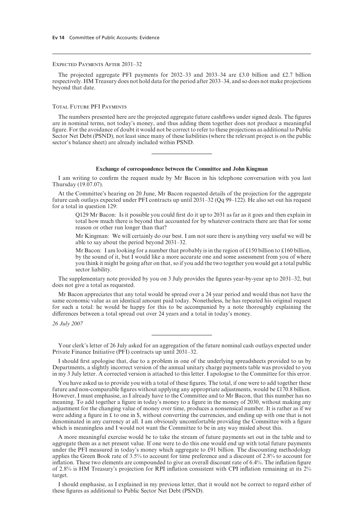#### Expected Payments After 2031–32

The projected aggregate PFI payments for 2032–33 and 2033–34 are £3.0 billion and £2.7 billion respectively. HM Treasury does not hold data for the period after 2033–34, and so does not make projections beyond that date.

#### Total Future PFI Payments

The numbers presented here are the projected aggregate future cashflows under signed deals. The figures are in nominal terms, not today's money, and thus adding them together does not produce a meaningful figure. For the avoidance of doubt it would not be correct to refer to these projections as additional to Public Sector Net Debt (PSND), not least since many of these liabilities (where the relevant project is on the public sector's balance sheet) are already included within PSND.

#### **Exchange of correspondence between the Committee and John Kingman**

I am writing to confirm the request made by Mr Bacon in his telephone conversation with you last Thursday (19.07.07).

At the Committee's hearing on 20 June, Mr Bacon requested details of the projection for the aggregate future cash outlays expected under PFI contracts up until 2031–32 (Qq 99–122). He also set out his request for a total in question 129:

Q129 Mr Bacon: Is it possible you could first do it up to 2031 as far as it goes and then explain in total how much there is beyond that accounted for by whatever contracts there are that for some reason or other run longer than that?

Mr Kingman: We will certainly do our best. I am not sure there is anything very useful we will be able to say about the period beyond 2031–32.

Mr Bacon: I am looking for a number that probably is in the region of £150 billion to £160 billion, by the sound of it, but I would like a more accurate one and some assessment from you of where you think it might be going after on that, so if you add the two together you would get a total public sector liability.

The supplementary note provided by you on 3 July provides the figures year-by-year up to 2031–32, but does not give a total as requested.

Mr Bacon appreciates that any total would be spread over a 24 year period and would thus not have the same economic value as an identical amount paid today. Nonetheless, he has repeated his original request for such a total: he would be happy for this to be accompanied by a note thoroughly explaining the differences between a total spread out over 24 years and a total in today's money.

*26 July 2007*

Your clerk's letter of 26 July asked for an aggregation of the future nominal cash outlays expected under Private Finance Initiative (PFI) contracts up until 2031–32.

I should first apologise that, due to a problem in one of the underlying spreadsheets provided to us by Departments, a slightly incorrect version of the annual unitary charge payments table was provided to you in my 3 July letter. A corrected version is attached to this letter. I apologise to the Committee for this error.

You have asked us to provide you with a total of these figures. The total, if one were to add together these future and non-comparable figures without applying any appropriate adjustments, would be £170.8 billion. However, I must emphasise, as I already have to the Committee and to Mr Bacon, that this number has no meaning. To add together a figure in today's money to a figure in the money of 2030, without making any adjustment for the changing value of money over time, produces a nonsensical number. It is rather as if we were adding a figure in  $\pounds$  to one in  $\pounds$ , without converting the currencies, and ending up with one that is not denominated in any currency at all. I am obviously uncomfortable providing the Committee with a figure which is meaningless and I would not want the Committee to be in any way misled about this.

A more meaningful exercise would be to take the stream of future payments set out in the table and to aggregate them as a net present value. If one were to do this one would end up with total future payments under the PFI measured in today's money which aggregate to £91 billion. The discounting methodology applies the Green Book rate of 3.5% to account for time preference and a discount of 2.8% to account for inflation. These two elements are compounded to give an overall discount rate of 6.4%. The inflation figure of 2.8% is HM Treasury's projection for RPI inflation consistent with CPI inflation remaining at its 2% target.

I should emphasise, as I explained in my previous letter, that it would not be correct to regard either of these figures as additional to Public Sector Net Debt (PSND).